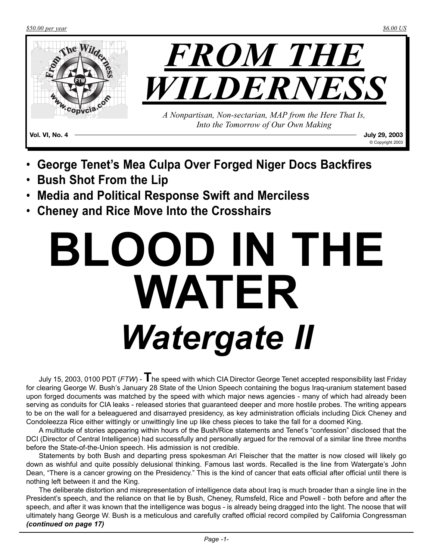*\$50.00 per year \$6.00 US*



- **George Tenet's Mea Culpa Over Forged Niger Docs Backfires**
- **Bush Shot From the Lip**
- **Media and Political Response Swift and Merciless**
- **Cheney and Rice Move Into the Crosshairs**

# **BLOOD IN THE WATER** *Watergate II*

July 15, 2003, 0100 PDT (*FTW*) - **T**he speed with which CIA Director George Tenet accepted responsibility last Friday for clearing George W. Bush's January 28 State of the Union Speech containing the bogus Iraq-uranium statement based upon forged documents was matched by the speed with which major news agencies - many of which had already been serving as conduits for CIA leaks - released stories that guaranteed deeper and more hostile probes. The writing appears to be on the wall for a beleaguered and disarrayed presidency, as key administration officials including Dick Cheney and Condoleezza Rice either wittingly or unwittingly line up like chess pieces to take the fall for a doomed King.

A multitude of stories appearing within hours of the Bush/Rice statements and Tenet's "confession" disclosed that the DCI (Director of Central Intelligence) had successfully and personally argued for the removal of a similar line three months before the State-of-the-Union speech. His admission is not credible.

Statements by both Bush and departing press spokesman Ari Fleischer that the matter is now closed will likely go down as wishful and quite possibly delusional thinking. Famous last words. Recalled is the line from Watergate's John Dean, "There is a cancer growing on the Presidency." This is the kind of cancer that eats official after official until there is nothing left between it and the King.

The deliberate distortion and misrepresentation of intelligence data about Iraq is much broader than a single line in the President's speech, and the reliance on that lie by Bush, Cheney, Rumsfeld, Rice and Powell - both before and after the speech, and after it was known that the intelligence was bogus - is already being dragged into the light. The noose that will ultimately hang George W. Bush is a meticulous and carefully crafted official record compiled by California Congressman *(continued on page 17)*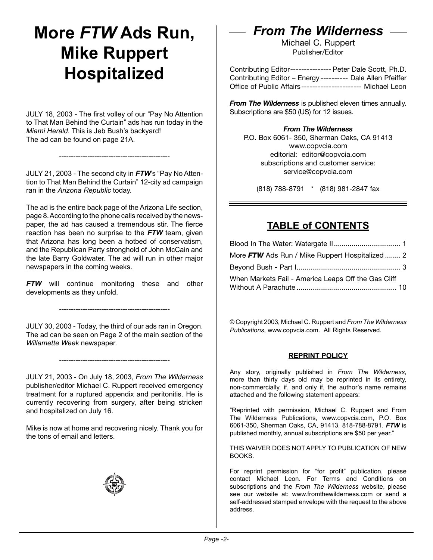### **More** *FTW* **Ads Run, Mike Ruppert Hospitalized**

JULY 18, 2003 - The first volley of our "Pay No Attention to That Man Behind the Curtain" ads has run today in the *Miami Herald*. This is Jeb Bush's backyard! The ad can be found on page 21A.

JULY 21, 2003 - The second city in *FTW*'s "Pay No Attention to That Man Behind the Curtain" 12-city ad campaign ran in the *Arizona Republic* today.

-----------------------------------------------

The ad is the entire back page of the Arizona Life section, page 8. According to the phone calls received by the newspaper, the ad has caused a tremendous stir. The fierce reaction has been no surprise to the *FTW* team, given that Arizona has long been a hotbed of conservatism, and the Republican Party stronghold of John McCain and the late Barry Goldwater. The ad will run in other major newspapers in the coming weeks.

*FTW* will continue monitoring these and other developments as they unfold.

-----------------------------------------------

JULY 30, 2003 - Today, the third of our ads ran in Oregon. The ad can be seen on Page 2 of the main section of the *Willamette Week* newspaper.

-----------------------------------------------

JULY 21, 2003 - On July 18, 2003, *From The Wilderness* publisher/editor Michael C. Ruppert received emergency treatment for a ruptured appendix and peritonitis. He is currently recovering from surgery, after being stricken and hospitalized on July 16.

Mike is now at home and recovering nicely. Thank you for the tons of email and letters.



### *From The Wilderness*

Michael C. Ruppert Publisher/Editor

Contributing Editor--------------- Peter Dale Scott, Ph.D. Contributing Editor – Energy ---------- Dale Allen Pfeiffer Office of Public Affairs---------------------- Michael Leon

*From The Wilderness* is published eleven times annually. Subscriptions are \$50 (US) for 12 issues.

#### *From The Wilderness*

P.O. Box 6061- 350, Sherman Oaks, CA 91413 www.copvcia.com editorial: editor@copvcia.com subscriptions and customer service: service@copvcia.com

(818) 788-8791 \* (818) 981-2847 fax

#### **TABLE of CONTENTS**

| More FTW Ads Run / Mike Ruppert Hospitalized  2     |  |
|-----------------------------------------------------|--|
|                                                     |  |
| When Markets Fail - America Leaps Off the Gas Cliff |  |

© Copyright 2003, Michael C. Ruppert and *From The Wilderness Publications*, www.copvcia.com. All Rights Reserved.

#### **REPRINT POLICY**

Any story, originally published in *From The Wilderness*, more than thirty days old may be reprinted in its entirety, non-commercially, if, and only if, the author's name remains attached and the following statement appears:

"Reprinted with permission, Michael C. Ruppert and From The Wilderness Publications, www.copvcia.com, P.O. Box 6061-350, Sherman Oaks, CA, 91413. 818-788-8791. *FTW* is published monthly, annual subscriptions are \$50 per year."

THIS WAIVER DOES NOT APPLY TO PUBLICATION OF NEW BOOKS.

For reprint permission for "for profit" publication, please contact Michael Leon. For Terms and Conditions on subscriptions and the *From The Wilderness* website, please see our website at: www.fromthewilderness.com or send a self-addressed stamped envelope with the request to the above address.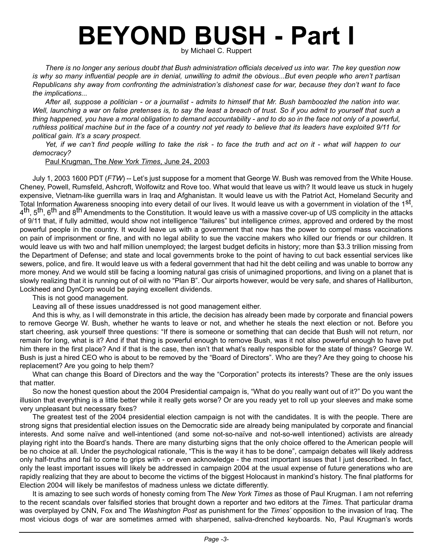## **BEYOND BUSH - Part I**

by Michael C. Ruppert

*There is no longer any serious doubt that Bush administration officials deceived us into war. The key question now*  is why so many influential people are in denial, unwilling to admit the obvious...But even people who aren't partisan *Republicans shy away from confronting the administration's dishonest case for war, because they don't want to face the implications...*

*After all, suppose a politician - or a journalist - admits to himself that Mr. Bush bamboozled the nation into war. Well, launching a war on false pretenses is, to say the least a breach of trust. So if you admit to yourself that such a thing happened, you have a moral obligation to demand accountability - and to do so in the face not only of a powerful, ruthless political machine but in the face of a country not yet ready to believe that its leaders have exploited 9/11 for political gain. It's a scary prospect.*

*Yet, if we can't find people willing to take the risk - to face the truth and act on it - what will happen to our democracy?*

Paul Krugman, The *New York Times*, June 24, 2003

July 1, 2003 1600 PDT (*FTW*) -- Let's just suppose for a moment that George W. Bush was removed from the White House. Cheney, Powell, Rumsfeld, Ashcroft, Wolfowitz and Rove too. What would that leave us with? It would leave us stuck in hugely expensive, Vietnam-like guerrilla wars in Iraq and Afghanistan. It would leave us with the Patriot Act, Homeland Security and Total Information Awareness snooping into every detail of our lives. It would leave us with a government in violation of the  $1<sup>st</sup>$ , 4<sup>th</sup>, 5<sup>th</sup>, 6<sup>th</sup> and 8<sup>th</sup> Amendments to the Constitution. It would leave us with a massive cover-up of US complicity in the attacks of 9/11 that, if fully admitted, would show not intelligence "failures" but intelligence *crimes*, approved and ordered by the most powerful people in the country. It would leave us with a government that now has the power to compel mass vaccinations on pain of imprisonment or fine, and with no legal ability to sue the vaccine makers who killed our friends or our children. It would leave us with two and half million unemployed; the largest budget deficits in history; more than \$3.3 trillion missing from the Department of Defense; and state and local governments broke to the point of having to cut back essential services like sewers, police, and fire. It would leave us with a federal government that had hit the debt ceiling and was unable to borrow any more money. And we would still be facing a looming natural gas crisis of unimagined proportions, and living on a planet that is slowly realizing that it is running out of oil with no "Plan B". Our airports however, would be very safe, and shares of Halliburton, Lockheed and DynCorp would be paying excellent dividends.

This is not good management.

Leaving all of these issues unaddressed is not good management either.

And this is why, as I will demonstrate in this article, the decision has already been made by corporate and financial powers to remove George W. Bush, whether he wants to leave or not, and whether he steals the next election or not. Before you start cheering, ask yourself three questions: "If there is someone or something that can decide that Bush will not return, nor remain for long, what is it? And if that thing is powerful enough to remove Bush, was it not also powerful enough to have put him there in the first place? And if that is the case, then isn't that what's really responsible for the state of things? George W. Bush is just a hired CEO who is about to be removed by the "Board of Directors". Who are they? Are they going to choose his replacement? Are you going to help them?

What can change this Board of Directors and the way the "Corporation" protects its interests? These are the only issues that matter.

So now the honest question about the 2004 Presidential campaign is, "What do you really want out of it?" Do you want the illusion that everything is a little better while it really gets worse? Or are you ready yet to roll up your sleeves and make some very unpleasant but necessary fixes?

The greatest test of the 2004 presidential election campaign is not with the candidates. It is with the people. There are strong signs that presidential election issues on the Democratic side are already being manipulated by corporate and financial interests. And some naïve and well-intentioned (and some not-so-naïve and not-so-well intentioned) activists are already playing right into the Board's hands. There are many disturbing signs that the only choice offered to the American people will be no choice at all. Under the psychological rationale, "This is the way it has to be done", campaign debates will likely address only half-truths and fail to come to grips with - or even acknowledge - the most important issues that I just described. In fact, only the least important issues will likely be addressed in campaign 2004 at the usual expense of future generations who are rapidly realizing that they are about to become the victims of the biggest Holocaust in mankind's history. The final platforms for Election 2004 will likely be manifestos of madness unless we dictate differently.

It is amazing to see such words of honesty coming from The *New York Times* as those of Paul Krugman. I am not referring to the recent scandals over falsified stories that brought down a reporter and two editors at the *Times*. That particular drama was overplayed by CNN, Fox and The *Washington Post* as punishment for the *Times'* opposition to the invasion of Iraq. The most vicious dogs of war are sometimes armed with sharpened, saliva-drenched keyboards. No, Paul Krugman's words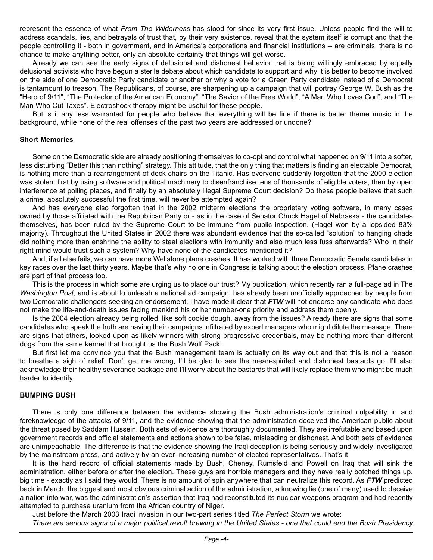represent the essence of what *From The Wilderness* has stood for since its very first issue. Unless people find the will to address scandals, lies, and betrayals of trust that, by their very existence, reveal that the system itself is corrupt and that the people controlling it - both in government, and in America's corporations and financial institutions -- are criminals, there is no chance to make anything better, only an absolute certainty that things will get worse.

Already we can see the early signs of delusional and dishonest behavior that is being willingly embraced by equally delusional activists who have begun a sterile debate about which candidate to support and why it is better to become involved on the side of one Democratic Party candidate or another or why a vote for a Green Party candidate instead of a Democrat is tantamount to treason. The Republicans, of course, are sharpening up a campaign that will portray George W. Bush as the "Hero of 9/11", "The Protector of the American Economy", "The Savior of the Free World", "A Man Who Loves God", and "The Man Who Cut Taxes". Electroshock therapy might be useful for these people.

But is it any less warranted for people who believe that everything will be fine if there is better theme music in the background, while none of the real offenses of the past two years are addressed or undone?

#### **Short Memories**

Some on the Democratic side are already positioning themselves to co-opt and control what happened on 9/11 into a softer, less disturbing "Better this than nothing" strategy. This attitude, that the only thing that matters is finding an electable Democrat, is nothing more than a rearrangement of deck chairs on the Titanic. Has everyone suddenly forgotten that the 2000 election was stolen: first by using software and political machinery to disenfranchise tens of thousands of eligible voters, then by open interference at polling places, and finally by an absolutely illegal Supreme Court decision? Do these people believe that such a crime, absolutely successful the first time, will never be attempted again?

And has everyone also forgotten that in the 2002 midterm elections the proprietary voting software, in many cases owned by those affiliated with the Republican Party or - as in the case of Senator Chuck Hagel of Nebraska - the candidates themselves, has been ruled by the Supreme Court to be immune from public inspection. (Hagel won by a lopsided 83% majority). Throughout the United States in 2002 there was abundant evidence that the so-called "solution" to hanging chads did nothing more than enshrine the ability to steal elections with immunity and also much less fuss afterwards? Who in their right mind would trust such a system? Why have none of the candidates mentioned it?

And, if all else fails, we can have more Wellstone plane crashes. It has worked with three Democratic Senate candidates in key races over the last thirty years. Maybe that's why no one in Congress is talking about the election process. Plane crashes are part of that process too.

This is the process in which some are urging us to place our trust? My publication, which recently ran a full-page ad in The *Washington Post,* and is about to unleash a national ad campaign, has already been unofficially approached by people from two Democratic challengers seeking an endorsement. I have made it clear that *FTW* will not endorse any candidate who does not make the life-and-death issues facing mankind his or her number-one priority and address them openly.

Is the 2004 election already being rolled, like soft cookie dough, away from the issues? Already there are signs that some candidates who speak the truth are having their campaigns infiltrated by expert managers who might dilute the message. There are signs that others, looked upon as likely winners with strong progressive credentials, may be nothing more than different dogs from the same kennel that brought us the Bush Wolf Pack.

But first let me convince you that the Bush management team is actually on its way out and that this is not a reason to breathe a sigh of relief. Don't get me wrong, I'll be glad to see the mean-spirited and dishonest bastards go. I'll also acknowledge their healthy severance package and I'll worry about the bastards that will likely replace them who might be much harder to identify.

#### **BUMPING BUSH**

There is only one difference between the evidence showing the Bush administration's criminal culpability in and foreknowledge of the attacks of 9/11, and the evidence showing that the administration deceived the American public about the threat posed by Saddam Hussein. Both sets of evidence are thoroughly documented. They are irrefutable and based upon government records and official statements and actions shown to be false, misleading or dishonest. And both sets of evidence are unimpeachable. The difference is that the evidence showing the Iraqi deception is being seriously and widely investigated by the mainstream press, and actively by an ever-increasing number of elected representatives. That's it.

It is the hard record of official statements made by Bush, Cheney, Rumsfeld and Powell on Iraq that will sink the administration, either before or after the election. These guys are horrible managers and they have really botched things up, big time - exactly as I said they would. There is no amount of spin anywhere that can neutralize this record. As *FTW* predicted back in March, the biggest and most obvious criminal action of the administration, a knowing lie (one of many) used to deceive a nation into war, was the administration's assertion that Iraq had reconstituted its nuclear weapons program and had recently attempted to purchase uranium from the African country of Niger.

Just before the March 2003 Iraqi invasion in our two-part series titled *The Perfect Storm* we wrote:

*There are serious signs of a major political revolt brewing in the United States - one that could end the Bush Presidency*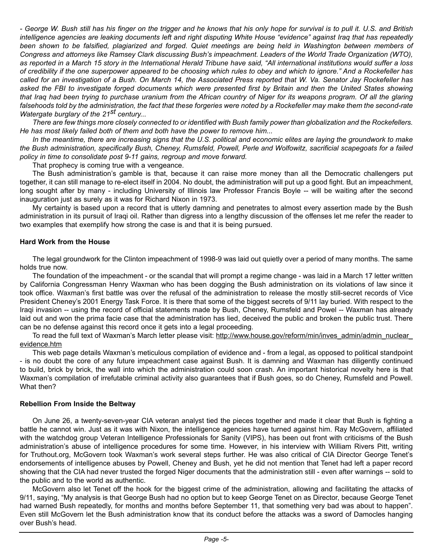*- George W. Bush still has his finger on the trigger and he knows that his only hope for survival is to pull it. U.S. and British intelligence agencies are leaking documents left and right disputing White House "evidence" against Iraq that has repeatedly*  been shown to be falsified, plagiarized and forged. Quiet meetings are being held in Washington between members of *Congress and attorneys like Ramsey Clark discussing Bush's impeachment. Leaders of the World Trade Organization (WTO), as reported in a March 15 story in the International Herald Tribune have said, "All international institutions would suffer a loss of credibility if the one superpower appeared to be choosing which rules to obey and which to ignore." And a Rockefeller has called for an investigation of a Bush. On March 14, the Associated Press reported that W. Va. Senator Jay Rockefeller has asked the FBI to investigate forged documents which were presented first by Britain and then the United States showing that Iraq had been trying to purchase uranium from the African country of Niger for its weapons program. Of all the glaring*  falsehoods told by the administration, the fact that these forgeries were noted by a Rockefeller may make them the second-rate *Watergate burglary of the 21st century...* 

*There are few things more closely connected to or identified with Bush family power than globalization and the Rockefellers. He has most likely failed both of them and both have the power to remove him...*

In the meantime, there are increasing signs that the U.S. political and economic elites are laying the groundwork to make *the Bush administration, specifically Bush, Cheney, Rumsfeld, Powell, Perle and Wolfowitz, sacrificial scapegoats for a failed policy in time to consolidate post 9-11 gains, regroup and move forward.* 

That prophecy is coming true with a vengeance.

The Bush administration's gamble is that, because it can raise more money than all the Democratic challengers put together, it can still manage to re-elect itself in 2004. No doubt, the administration will put up a good fight. But an impeachment, long sought after by many - including University of Illinois law Professor Francis Boyle -- will be waiting after the second inauguration just as surely as it was for Richard Nixon in 1973.

My certainty is based upon a record that is utterly damning and penetrates to almost every assertion made by the Bush administration in its pursuit of Iraqi oil. Rather than digress into a lengthy discussion of the offenses let me refer the reader to two examples that exemplify how strong the case is and that it is being pursued.

#### **Hard Work from the House**

The legal groundwork for the Clinton impeachment of 1998-9 was laid out quietly over a period of many months. The same holds true now.

The foundation of the impeachment - or the scandal that will prompt a regime change - was laid in a March 17 letter written by California Congressman Henry Waxman who has been dogging the Bush administration on its violations of law since it took office. Waxman's first battle was over the refusal of the administration to release the mostly still-secret records of Vice President Cheney's 2001 Energy Task Force. It is there that some of the biggest secrets of 9/11 lay buried. With respect to the Iraqi invasion -- using the record of official statements made by Bush, Cheney, Rumsfeld and Powel -- Waxman has already laid out and won the prima facie case that the administration has lied, deceived the public and broken the public trust. There can be no defense against this record once it gets into a legal proceeding.

To read the full text of Waxman's March letter please visit: http://www.house.gov/reform/min/inves\_admin/admin\_nuclear evidence.htm

This web page details Waxman's meticulous compilation of evidence and - from a legal, as opposed to political standpoint - is no doubt the core of any future impeachment case against Bush. It is damning and Waxman has diligently continued to build, brick by brick, the wall into which the administration could soon crash. An important historical novelty here is that Waxman's compilation of irrefutable criminal activity also guarantees that if Bush goes, so do Cheney, Rumsfeld and Powell. What then?

#### **Rebellion From Inside the Beltway**

On June 26, a twenty-seven-year CIA veteran analyst tied the pieces together and made it clear that Bush is fighting a battle he cannot win. Just as it was with Nixon, the intelligence agencies have turned against him. Ray McGovern, affiliated with the watchdog group Veteran Intelligence Professionals for Sanity (VIPS), has been out front with criticisms of the Bush administration's abuse of intelligence procedures for some time. However, in his interview with William Rivers Pitt, writing for Truthout.org, McGovern took Waxman's work several steps further. He was also critical of CIA Director George Tenet's endorsements of intelligence abuses by Powell, Cheney and Bush, yet he did not mention that Tenet had left a paper record showing that the CIA had never trusted the forged Niger documents that the administration still - even after warnings -- sold to the public and to the world as authentic.

McGovern also let Tenet off the hook for the biggest crime of the administration, allowing and facilitating the attacks of 9/11, saying, "My analysis is that George Bush had no option but to keep George Tenet on as Director, because George Tenet had warned Bush repeatedly, for months and months before September 11, that something very bad was about to happen". Even still McGovern let the Bush administration know that its conduct before the attacks was a sword of Damocles hanging over Bush's head.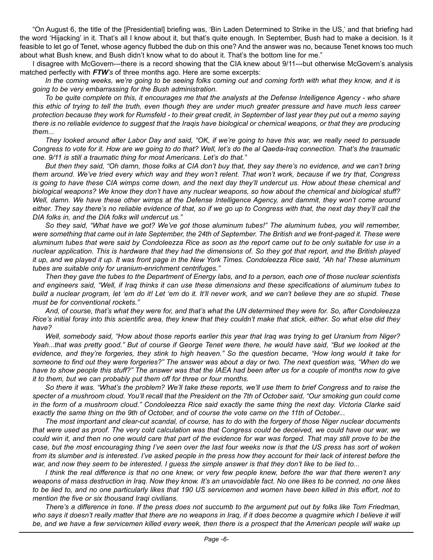"On August 6, the title of the [Presidential] briefing was, 'Bin Laden Determined to Strike in the US,' and that briefing had the word 'Hijacking' in it. That's all I know about it, but that's quite enough. In September, Bush had to make a decision. Is it feasible to let go of Tenet, whose agency flubbed the dub on this one? And the answer was no, because Tenet knows too much about what Bush knew, and Bush didn't know what to do about it. That's the bottom line for me."

I disagree with McGovern---there is a record showing that the CIA knew about 9/11---but otherwise McGovern's analysis matched perfectly with *FTW's* of three months ago. Here are some excerpts:

*In the coming weeks, we're going to be seeing folks coming out and coming forth with what they know, and it is going to be very embarrassing for the Bush administration.*

*To be quite complete on this, it encourages me that the analysts at the Defense Intelligence Agency - who share this ethic of trying to tell the truth, even though they are under much greater pressure and have much less career protection because they work for Rumsfeld - to their great credit, in September of last year they put out a memo saying there is no reliable evidence to suggest that the Iraqis have biological or chemical weapons, or that they are producing them...*

*They looked around after Labor Day and said, "OK, if we're going to have this war, we really need to persuade Congress to vote for it. How are we going to do that? Well, let's do the al Qaeda-Iraq connection. That's the traumatic one. 9/11 is still a traumatic thing for most Americans. Let's do that."*

*But then they said, "Oh damn, those folks at CIA don't buy that, they say there's no evidence, and we can't bring them around. We've tried every which way and they won't relent. That won't work, because if we try that, Congress is going to have these CIA wimps come down, and the next day they'll undercut us. How about these chemical and biological weapons? We know they don't have any nuclear weapons, so how about the chemical and biological stuff? Well, damn. We have these other wimps at the Defense Intelligence Agency, and dammit, they won't come around either. They say there's no reliable evidence of that, so if we go up to Congress with that, the next day they'll call the DIA folks in, and the DIA folks will undercut us."*

*So they said, "What have we got? We've got those aluminum tubes!" The aluminum tubes, you will remember, were something that came out in late September, the 24th of September. The British and we front-paged it. These were aluminum tubes that were said by Condoleezza Rice as soon as the report came out to be only suitable for use in a nuclear application. This is hardware that they had the dimensions of. So they got that report, and the British played it up, and we played it up. It was front page in the New York Times. Condoleezza Rice said, "Ah ha! These aluminum tubes are suitable only for uranium-enrichment centrifuges."*

*Then they gave the tubes to the Department of Energy labs, and to a person, each one of those nuclear scientists and engineers said, "Well, if Iraq thinks it can use these dimensions and these specifications of aluminum tubes to build a nuclear program, let 'em do it! Let 'em do it. It'll never work, and we can't believe they are so stupid. These must be for conventional rockets."*

*And, of course, that's what they were for, and that's what the UN determined they were for. So, after Condoleezza Rice's initial foray into this scientific area, they knew that they couldn't make that stick, either. So what else did they have?*

*Well, somebody said, "How about those reports earlier this year that Iraq was trying to get Uranium from Niger? Yeah...that was pretty good." But of course if George Tenet were there, he would have said, "But we looked at the evidence, and they're forgeries, they stink to high heaven." So the question became, "How long would it take for someone to find out they were forgeries?" The answer was about a day or two. The next question was, "When do we*  have to show people this stuff?" The answer was that the IAEA had been after us for a couple of months now to give *it to them, but we can probably put them off for three or four months.*

*So there it was. "What's the problem? We'll take these reports, we'll use them to brief Congress and to raise the*  specter of a mushroom cloud. You'll recall that the President on the 7th of October said, "Our smoking gun could come *in the form of a mushroom cloud." Condoleezza Rice said exactly the same thing the next day. Victoria Clarke said exactly the same thing on the 9th of October, and of course the vote came on the 11th of October...*

*The most important and clear-cut scandal, of course, has to do with the forgery of those Niger nuclear documents that were used as proof. The very cold calculation was that Congress could be deceived, we could have our war, we could win it, and then no one would care that part of the evidence for war was forged. That may still prove to be the case, but the most encouraging thing I've seen over the last four weeks now is that the US press has sort of woken from its slumber and is interested. I've asked people in the press how they account for their lack of interest before the war, and now they seem to be interested. I guess the simple answer is that they don't like to be lied to...*

*I think the real difference is that no one knew, or very few people knew, before the war that there weren't any weapons of mass destruction in Iraq. Now they know. It's an unavoidable fact. No one likes to be conned, no one likes to be lied to, and no one particularly likes that 190 US servicemen and women have been killed in this effort, not to mention the five or six thousand Iraqi civilians.*

*There's a difference in tone. If the press does not succumb to the argument put out by folks like Tom Friedman,*  who says it doesn't really matter that there are no weapons in Iraq, if it does become a quagmire which I believe it will be, and we have a few servicemen killed every week, then there is a prospect that the American people will wake up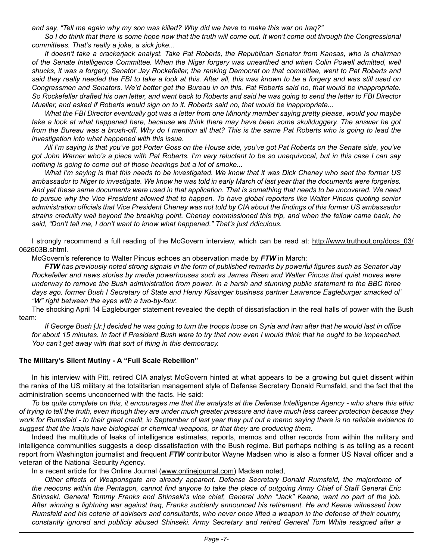*and say, "Tell me again why my son was killed? Why did we have to make this war on Iraq?"*

So I do think that there is some hope now that the truth will come out. It won't come out through the Congressional *committees. That's really a joke, a sick joke...*

*It doesn't take a crackerjack analyst. Take Pat Roberts, the Republican Senator from Kansas, who is chairman*  of the Senate Intelligence Committee. When the Niger forgery was unearthed and when Colin Powell admitted, well *shucks, it was a forgery, Senator Jay Rockefeller, the ranking Democrat on that committee, went to Pat Roberts and said they really needed the FBI to take a look at this. After all, this was known to be a forgery and was still used on Congressmen and Senators. We'd better get the Bureau in on this. Pat Roberts said no, that would be inappropriate. So Rockefeller drafted his own letter, and went back to Roberts and said he was going to send the letter to FBI Director Mueller, and asked if Roberts would sign on to it. Roberts said no, that would be inappropriate...*

*What the FBI Director eventually got was a letter from one Minority member saying pretty please, would you maybe take a look at what happened here, because we think there may have been some skullduggery. The answer he got*  from the Bureau was a brush-off. Why do I mention all that? This is the same Pat Roberts who is going to lead the *investigation into what happened with this issue.*

*All I'm saying is that you've got Porter Goss on the House side, you've got Pat Roberts on the Senate side, you've got John Warner who's a piece with Pat Roberts. I'm very reluctant to be so unequivocal, but in this case I can say nothing is going to come out of those hearings but a lot of smoke...*

*What I'm saying is that this needs to be investigated. We know that it was Dick Cheney who sent the former US ambassador to Niger to investigate. We know he was told in early March of last year that the documents were forgeries. And yet these same documents were used in that application. That is something that needs to be uncovered. We need*  to pursue why the Vice President allowed that to happen. To have global reporters like Walter Pincus quoting senior *administration officials that Vice President Cheney was not told by CIA about the findings of this former US ambassador strains credulity well beyond the breaking point. Cheney commissioned this trip, and when the fellow came back, he said, "Don't tell me, I don't want to know what happened." That's just ridiculous.*

I strongly recommend a full reading of the McGovern interview, which can be read at: http://www.truthout.org/docs\_03/ 062603B.shtml.

McGovern's reference to Walter Pincus echoes an observation made by *FTW* in March:

*FTW has previously noted strong signals in the form of published remarks by powerful figures such as Senator Jay Rockefeller and news stories by media powerhouses such as James Risen and Walter Pincus that quiet moves were underway to remove the Bush administration from power. In a harsh and stunning public statement to the BBC three days ago, former Bush I Secretary of State and Henry Kissinger business partner Lawrence Eagleburger smacked ol' "W" right between the eyes with a two-by-four.* 

The shocking April 14 Eagleburger statement revealed the depth of dissatisfaction in the real halls of power with the Bush team:

*If George Bush [Jr.] decided he was going to turn the troops loose on Syria and Iran after that he would last in office for about 15 minutes. In fact if President Bush were to try that now even I would think that he ought to be impeached. You can't get away with that sort of thing in this democracy.*

#### **The Military's Silent Mutiny - A "Full Scale Rebellion"**

In his interview with Pitt, retired CIA analyst McGovern hinted at what appears to be a growing but quiet dissent within the ranks of the US military at the totalitarian management style of Defense Secretary Donald Rumsfeld, and the fact that the administration seems unconcerned with the facts. He said:

*To be quite complete on this, it encourages me that the analysts at the Defense Intelligence Agency - who share this ethic of trying to tell the truth, even though they are under much greater pressure and have much less career protection because they work for Rumsfeld - to their great credit, in September of last year they put out a memo saying there is no reliable evidence to suggest that the Iraqis have biological or chemical weapons, or that they are producing them.*

Indeed the multitude of leaks of intelligence estimates, reports, memos and other records from within the military and intelligence communities suggests a deep dissatisfaction with the Bush regime. But perhaps nothing is as telling as a recent report from Washington journalist and frequent *FTW* contributor Wayne Madsen who is also a former US Naval officer and a veteran of the National Security Agency.

In a recent article for the Online Journal (www.onlinejournal.com) Madsen noted,

*Other effects of Weaponsgate are already apparent. Defense Secretary Donald Rumsfeld, the majordomo of the neocons within the Pentagon, cannot find anyone to take the place of outgoing Army Chief of Staff General Eric Shinseki. General Tommy Franks and Shinseki's vice chief, General John "Jack" Keane, want no part of the job. After winning a lightning war against Iraq, Franks suddenly announced his retirement. He and Keane witnessed how Rumsfeld and his coterie of advisers and consultants, who never once lifted a weapon in the defense of their country, constantly ignored and publicly abused Shinseki. Army Secretary and retired General Tom White resigned after a*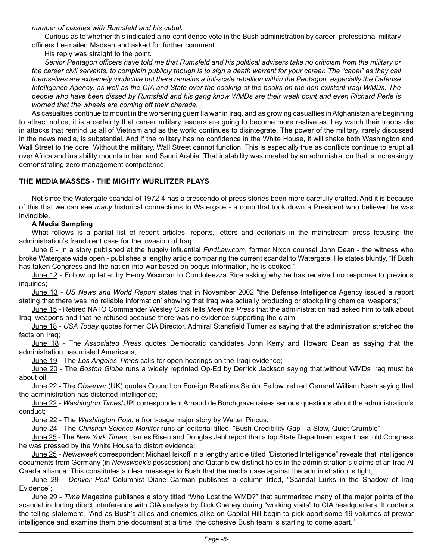*number of clashes with Rumsfeld and his cabal.* 

Curious as to whether this indicated a no-confidence vote in the Bush administration by career, professional military officers I e-mailed Madsen and asked for further comment.

His reply was straight to the point.

*Senior Pentagon officers have told me that Rumsfeld and his political advisers take no criticism from the military or the career civil servants, to complain publicly though is to sign a death warrant for your career. The "cabal" as they call themselves are extremely vindictive but there remains a full-scale rebellion within the Pentagon, especially the Defense Intelligence Agency, as well as the CIA and State over the cooking of the books on the non-existent Iraqi WMDs. The people who have been dissed by Rumsfeld and his gang know WMDs are their weak point and even Richard Perle is worried that the wheels are coming off their charade.*

As casualties continue to mount in the worsening guerrilla war in Iraq, and as growing casualties in Afghanistan are beginning to attract notice, it is a certainty that career military leaders are going to become more restive as they watch their troops die in attacks that remind us all of Vietnam and as the world continues to disintegrate. The power of the military, rarely discussed in the news media, is substantial. And if the military has no confidence in the White House, it will shake both Washington and Wall Street to the core. Without the military, Wall Street cannot function. This is especially true as conflicts continue to erupt all over Africa and instability mounts in Iran and Saudi Arabia. That instability was created by an administration that is increasingly demonstrating zero management competence.

#### **THE MEDIA MASSES - THE MIGHTY WURLITZER PLAYS**

Not since the Watergate scandal of 1972-4 has a crescendo of press stories been more carefully crafted. And it is because of this that we can see *many* historical connections to Watergate - a coup that took down a President who believed he was invincible.

#### **A Media Sampling**

What follows is a partial list of recent articles, reports, letters and editorials in the mainstream press focusing the administration's fraudulent case for the invasion of Iraq:

June 6 - In a story published at the hugely influential *FindLaw.com*, former Nixon counsel John Dean - the witness who broke Watergate wide open - publishes a lengthy article comparing the current scandal to Watergate. He states bluntly, "If Bush has taken Congress and the nation into war based on bogus information, he is cooked;"

June 12 - Follow up letter by Henry Waxman to Condoleezza Rice asking why he has received no response to previous inquiries;

June 13 - *US News and World Report* states that in November 2002 "the Defense Intelligence Agency issued a report stating that there was 'no reliable information' showing that Iraq was actually producing or stockpiling chemical weapons;"

June 15 - Retired NATO Commander Wesley Clark tells *Meet the Press* that the administration had asked him to talk about Iraqi weapons and that he refused because there was no evidence supporting the claim;

June 18 - *USA Today* quotes former CIA Director, Admiral Stansfield Turner as saying that the administration stretched the facts on Iraq;

June 18 - The *Associated Press* quotes Democratic candidates John Kerry and Howard Dean as saying that the administration has misled Americans;

June 19 - The *Los Angeles Times* calls for open hearings on the Iraqi evidence;

June 20 - The *Boston Globe* runs a widely reprinted Op-Ed by Derrick Jackson saying that without WMDs Iraq must be about oil;

June 22 - The *Observer* (UK) quotes Council on Foreign Relations Senior Fellow, retired General William Nash saying that the administration has distorted intelligence;

June 22 - *Washington Times*/UPI correspondent Arnaud de Borchgrave raises serious questions about the administration's conduct;

June 22 - The *Washington Post*, a front-page major story by Walter Pincus;

June 24 - The *Christian Science Monitor* runs an editorial titled, "Bush Credibility Gap - a Slow, Quiet Crumble";

June 25 - The *New York Times*, James Risen and Douglas Jehl report that a top State Department expert has told Congress he was pressed by the White House to distort evidence;

June 25 - *Newsweek* correspondent Michael Isikoff in a lengthy article titled "Distorted Intelligence" reveals that intelligence documents from Germany (in *Newsweek's* possession) and Qatar blow distinct holes in the administration's claims of an Iraq-Al Qaeda alliance. This constitutes a clear message to Bush that the media case against the administration is tight;

June 29 - *Denver Post* Columnist Diane Carman publishes a column titled, "Scandal Lurks in the Shadow of Iraq Evidence";

June 29 - *Time* Magazine publishes a story titled "Who Lost the WMD?" that summarized many of the major points of the scandal including direct interference with CIA analysis by Dick Cheney during "working visits" to CIA headquarters. It contains the telling statement, "And as Bush's allies and enemies alike on Capitol Hill begin to pick apart some 19 volumes of prewar intelligence and examine them one document at a time, the cohesive Bush team is starting to come apart."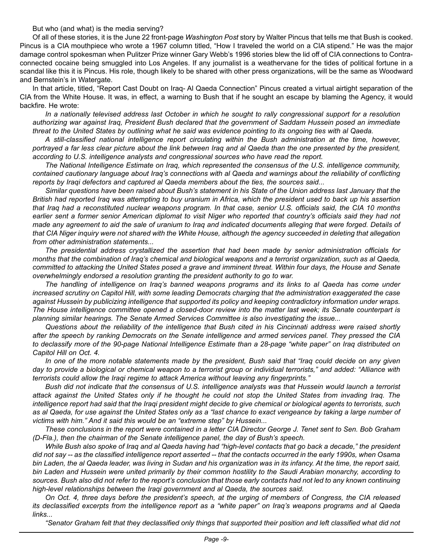But who (and what) is the media serving?

Of all of these stories, it is the June 22 front-page *Washington Post* story by Walter Pincus that tells me that Bush is cooked. Pincus is a CIA mouthpiece who wrote a 1967 column titled, "How I traveled the world on a CIA stipend." He was the major damage control spokesman when Pulitzer Prize winner Gary Webb's 1996 stories blew the lid off of CIA connections to Contraconnected cocaine being smuggled into Los Angeles. If any journalist is a weathervane for the tides of political fortune in a scandal like this it is Pincus. His role, though likely to be shared with other press organizations, will be the same as Woodward and Bernstein's in Watergate.

In that article, titled, "Report Cast Doubt on Iraq- Al Qaeda Connection" Pincus created a virtual airtight separation of the CIA from the White House. It was, in effect, a warning to Bush that if he sought an escape by blaming the Agency, it would backfire. He wrote:

*In a nationally televised address last October in which he sought to rally congressional support for a resolution authorizing war against Iraq, President Bush declared that the government of Saddam Hussein posed an immediate threat to the United States by outlining what he said was evidence pointing to its ongoing ties with al Qaeda.*

*A still-classified national intelligence report circulating within the Bush administration at the time, however, portrayed a far less clear picture about the link between Iraq and al Qaeda than the one presented by the president, according to U.S. intelligence analysts and congressional sources who have read the report.*

*The National Intelligence Estimate on Iraq, which represented the consensus of the U.S. intelligence community, contained cautionary language about Iraq's connections with al Qaeda and warnings about the reliability of conflicting reports by Iraqi defectors and captured al Qaeda members about the ties, the sources said...*

*Similar questions have been raised about Bush's statement in his State of the Union address last January that the British had reported Iraq was attempting to buy uranium in Africa, which the president used to back up his assertion that Iraq had a reconstituted nuclear weapons program. In that case, senior U.S. officials said, the CIA 10 months*  earlier sent a former senior American diplomat to visit Niger who reported that country's officials said they had not *made any agreement to aid the sale of uranium to Iraq and indicated documents alleging that were forged. Details of that CIA Niger inquiry were not shared with the White House, although the agency succeeded in deleting that allegation from other administration statements...*

*The presidential address crystallized the assertion that had been made by senior administration officials for months that the combination of Iraq's chemical and biological weapons and a terrorist organization, such as al Qaeda, committed to attacking the United States posed a grave and imminent threat. Within four days, the House and Senate overwhelmingly endorsed a resolution granting the president authority to go to war.*

*The handling of intelligence on Iraq's banned weapons programs and its links to al Qaeda has come under increased scrutiny on Capitol Hill, with some leading Democrats charging that the administration exaggerated the case against Hussein by publicizing intelligence that supported its policy and keeping contradictory information under wraps. The House intelligence committee opened a closed-door review into the matter last week; its Senate counterpart is planning similar hearings. The Senate Armed Services Committee is also investigating the issue...*

*Questions about the reliability of the intelligence that Bush cited in his Cincinnati address were raised shortly after the speech by ranking Democrats on the Senate intelligence and armed services panel. They pressed the CIA to declassify more of the 90-page National Intelligence Estimate than a 28-page "white paper" on Iraq distributed on Capitol Hill on Oct. 4.*

*In one of the more notable statements made by the president, Bush said that "Iraq could decide on any given day to provide a biological or chemical weapon to a terrorist group or individual terrorists," and added: "Alliance with terrorists could allow the Iraqi regime to attack America without leaving any fingerprints."*

*Bush did not indicate that the consensus of U.S. intelligence analysts was that Hussein would launch a terrorist attack against the United States only if he thought he could not stop the United States from invading Iraq. The intelligence report had said that the Iraqi president might decide to give chemical or biological agents to terrorists, such as al Qaeda, for use against the United States only as a "last chance to exact vengeance by taking a large number of victims with him." And it said this would be an "extreme step" by Hussein...*

*These conclusions in the report were contained in a letter CIA Director George J. Tenet sent to Sen. Bob Graham (D-Fla.), then the chairman of the Senate intelligence panel, the day of Bush's speech.*

*While Bush also spoke of Iraq and al Qaeda having had "high-level contacts that go back a decade," the president did not say -- as the classified intelligence report asserted -- that the contacts occurred in the early 1990s, when Osama bin Laden, the al Qaeda leader, was living in Sudan and his organization was in its infancy. At the time, the report said, bin Laden and Hussein were united primarily by their common hostility to the Saudi Arabian monarchy, according to sources. Bush also did not refer to the report's conclusion that those early contacts had not led to any known continuing high-level relationships between the Iraqi government and al Qaeda, the sources said.*

*On Oct. 4, three days before the president's speech, at the urging of members of Congress, the CIA released its declassified excerpts from the intelligence report as a "white paper" on Iraq's weapons programs and al Qaeda links...*

*"Senator Graham felt that they declassified only things that supported their position and left classified what did not*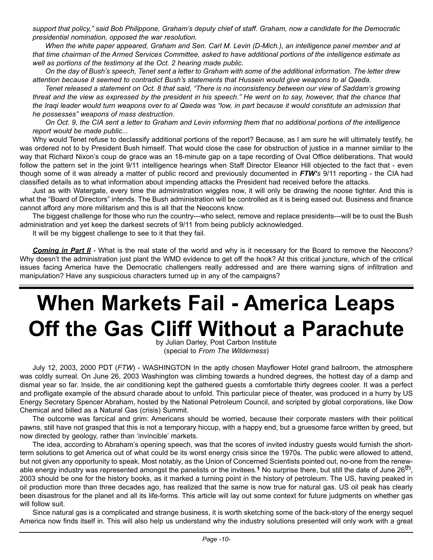*support that policy," said Bob Philippone, Graham's deputy chief of staff. Graham, now a candidate for the Democratic presidential nomination, opposed the war resolution.*

*When the white paper appeared, Graham and Sen. Carl M. Levin (D-Mich.), an intelligence panel member and at that time chairman of the Armed Services Committee, asked to have additional portions of the intelligence estimate as well as portions of the testimony at the Oct. 2 hearing made public.*

*On the day of Bush's speech, Tenet sent a letter to Graham with some of the additional information. The letter drew attention because it seemed to contradict Bush's statements that Hussein would give weapons to al Qaeda.*

*Tenet released a statement on Oct. 8 that said, "There is no inconsistency between our view of Saddam's growing threat and the view as expressed by the president in his speech." He went on to say, however, that the chance that the Iraqi leader would turn weapons over to al Qaeda was "low, in part because it would constitute an admission that he possesses" weapons of mass destruction.*

*On Oct. 9, the CIA sent a letter to Graham and Levin informing them that no additional portions of the intelligence report would be made public...*

Why would Tenet refuse to declassify additional portions of the report? Because, as I am sure he will ultimately testify, he was ordered not to by President Bush himself. That would close the case for obstruction of justice in a manner similar to the way that Richard Nixon's coup de grace was an 18-minute gap on a tape recording of Oval Office deliberations. That would follow the pattern set in the joint 9/11 intelligence hearings when Staff Director Eleanor Hill objected to the fact that - even though some of it was already a matter of public record and previously documented in *FTW's* 9/11 reporting - the CIA had classified details as to what information about impending attacks the President had received before the attacks.

Just as with Watergate, every time the administration wiggles now, it will only be drawing the noose tighter. And this is what the "Board of Directors" intends. The Bush administration will be controlled as it is being eased out. Business and finance cannot afford any more militarism and this is all that the Neocons know.

The biggest challenge for those who run the country---who select, remove and replace presidents---will be to oust the Bush administration and yet keep the darkest secrets of 9/11 from being publicly acknowledged.

It will be my biggest challenge to see to it that they fail.

**Coming in Part II** - What is the real state of the world and why is it necessary for the Board to remove the Neocons? Why doesn't the administration just plant the WMD evidence to get off the hook? At this critical juncture, which of the critical issues facing America have the Democratic challengers really addressed and are there warning signs of infiltration and manipulation? Have any suspicious characters turned up in any of the campaigns?

## **When Markets Fail - America Leaps Off the Gas Cliff Without a Parachute**

by Julian Darley, Post Carbon Institute (special to *From The Wilderness*)

July 12, 2003, 2000 PDT (*FTW*) - WASHINGTON In the aptly chosen Mayflower Hotel grand ballroom, the atmosphere was coldly surreal. On June 26, 2003 Washington was climbing towards a hundred degrees, the hottest day of a damp and dismal year so far. Inside, the air conditioning kept the gathered guests a comfortable thirty degrees cooler. It was a perfect and profligate example of the absurd charade about to unfold. This particular piece of theater, was produced in a hurry by US Energy Secretary Spencer Abraham, hosted by the National Petroleum Council, and scripted by global corporations, like Dow Chemical and billed as a Natural Gas (crisis) Summit.

The outcome was farcical and grim: Americans should be worried, because their corporate masters with their political pawns, still have not grasped that this is not a temporary hiccup, with a happy end, but a gruesome farce written by greed, but now directed by geology, rather than 'invincible' markets.

The idea, according to Abraham's opening speech, was that the scores of invited industry guests would furnish the shortterm solutions to get America out of what could be its worst energy crisis since the 1970s. The public were allowed to attend, but not given any opportunity to speak. Most notably, as the Union of Concerned Scientists pointed out, no-one from the renewable energy industry was represented amongst the panelists or the invitees.**1** No surprise there, but still the date of June 26th, 2003 should be one for the history books, as it marked a turning point in the history of petroleum. The US, having peaked in oil production more than three decades ago, has realized that the same is now true for natural gas. US oil peak has clearly been disastrous for the planet and all its life-forms. This article will lay out some context for future judgments on whether gas will follow suit.

Since natural gas is a complicated and strange business, it is worth sketching some of the back-story of the energy sequel America now finds itself in. This will also help us understand why the industry solutions presented will only work with a great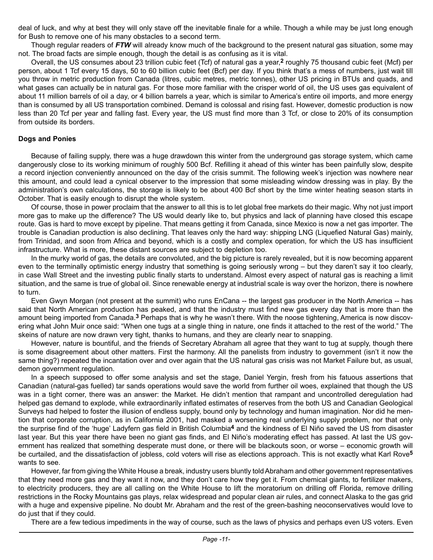deal of luck, and why at best they will only stave off the inevitable finale for a while. Though a while may be just long enough for Bush to remove one of his many obstacles to a second term.

Though regular readers of *FTW* will already know much of the background to the present natural gas situation, some may not. The broad facts are simple enough, though the detail is as confusing as it is vital.

Overall, the US consumes about 23 trillion cubic feet (Tcf) of natural gas a year,**2** roughly 75 thousand cubic feet (Mcf) per person, about 1 Tcf every 15 days, 50 to 60 billion cubic feet (Bcf) per day. If you think that's a mess of numbers, just wait till you throw in metric production from Canada (litres, cubic metres, metric tonnes), other US pricing in BTUs and quads, and what gases can actually be in natural gas. For those more familiar with the crisper world of oil, the US uses gas equivalent of about 11 million barrels of oil a day, or 4 billion barrels a year, which is similar to America's entire oil imports, and more energy than is consumed by all US transportation combined. Demand is colossal and rising fast. However, domestic production is now less than 20 Tcf per year and falling fast. Every year, the US must find more than 3 Tcf, or close to 20% of its consumption from outside its borders.

#### **Dogs and Ponies**

Because of failing supply, there was a huge drawdown this winter from the underground gas storage system, which came dangerously close to its working minimum of roughly 500 Bcf. Refilling it ahead of this winter has been painfully slow, despite a record injection conveniently announced on the day of the crisis summit. The following week's injection was nowhere near this amount, and could lead a cynical observer to the impression that some misleading window dressing was in play. By the administration's own calculations, the storage is likely to be about 400 Bcf short by the time winter heating season starts in October. That is easily enough to disrupt the whole system.

Of course, those in power proclaim that the answer to all this is to let global free markets do their magic. Why not just import more gas to make up the difference? The US would dearly like to, but physics and lack of planning have closed this escape route. Gas is hard to move except by pipeline. That means getting it from Canada, since Mexico is now a net gas importer. The trouble is Canadian production is also declining. That leaves only the hard way: shipping LNG (Liquefied Natural Gas) mainly, from Trinidad, and soon from Africa and beyond, which is a costly and complex operation, for which the US has insufficient infrastructure. What is more, these distant sources are subject to depletion too.

In the murky world of gas, the details are convoluted, and the big picture is rarely revealed, but it is now becoming apparent even to the terminally optimistic energy industry that something is going seriously wrong – but they daren't say it too clearly, in case Wall Street and the investing public finally starts to understand. Almost every aspect of natural gas is reaching a limit situation, and the same is true of global oil. Since renewable energy at industrial scale is way over the horizon, there is nowhere to turn.

Even Gwyn Morgan (not present at the summit) who runs EnCana -- the largest gas producer in the North America -- has said that North American production has peaked, and that the industry must find new gas every day that is more than the amount being imported from Canada.**3** Perhaps that is why he wasn't there. With the noose tightening, America is now discovering what John Muir once said: "When one tugs at a single thing in nature, one finds it attached to the rest of the world." The skeins of nature are now drawn very tight, thanks to humans, and they are clearly near to snapping.

However, nature is bountiful, and the friends of Secretary Abraham all agree that they want to tug at supply, though there is some disagreement about other matters. First the harmony. All the panelists from industry to government (isn't it now the same thing?) repeated the incantation over and over again that the US natural gas crisis was not Market Failure but, as usual, demon government regulation.

In a speech supposed to offer some analysis and set the stage, Daniel Yergin, fresh from his fatuous assertions that Canadian (natural-gas fuelled) tar sands operations would save the world from further oil woes, explained that though the US was in a tight corner, there was an answer: the Market. He didn't mention that rampant and uncontrolled deregulation had helped gas demand to explode, while extraordinarily inflated estimates of reserves from the both US and Canadian Geological Surveys had helped to foster the illusion of endless supply, bound only by technology and human imagination. Nor did he mention that corporate corruption, as in California 2001, had masked a worsening real underlying supply problem, nor that only the surprise find of the 'huge' Ladyfern gas field in British Columbia**4** and the kindness of El Niño saved the US from disaster last year. But this year there have been no giant gas finds, and El Niño's moderating effect has passed. At last the US government has realized that something desperate must done, or there will be blackouts soon, or worse – economic growth will be curtailed, and the dissatisfaction of jobless, cold voters will rise as elections approach. This is not exactly what Karl Rove**5** wants to see.

However, far from giving the White House a break, industry users bluntly told Abraham and other government representatives that they need more gas and they want it now, and they don't care how they get it. From chemical giants, to fertilizer makers, to electricity producers, they are all calling on the White House to lift the moratorium on drilling off Florida, remove drilling restrictions in the Rocky Mountains gas plays, relax widespread and popular clean air rules, and connect Alaska to the gas grid with a huge and expensive pipeline. No doubt Mr. Abraham and the rest of the green-bashing neoconservatives would love to do just that if they could.

There are a few tedious impediments in the way of course, such as the laws of physics and perhaps even US voters. Even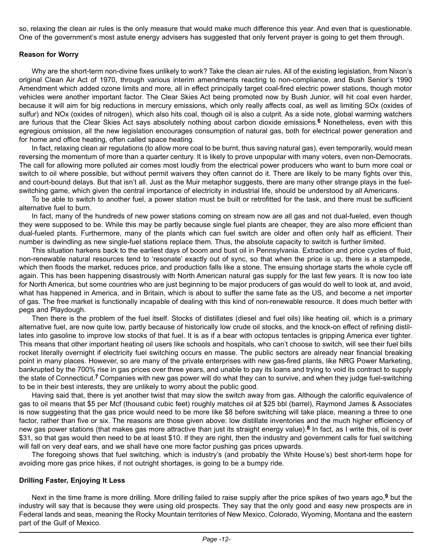so, relaxing the clean air rules is the only measure that would make much difference this year. And even that is questionable. One of the government's most astute energy advisers has suggested that only fervent prayer is going to get them through.

#### **Reason for Worry**

Why are the short-term non-divine fixes unlikely to work? Take the clean air rules. All of the existing legislation, from Nixon's original Clean Air Act of 1970, through various interim amendments reacting to non-compliance, and Bush Senior's 1990 Amendment which added ozone limits and more, all in effect principally target coal-fired electric power stations, though motor vehicles were another important factor. The Clear Skies Act being promoted now by Bush Junior, will hit coal even harder, because it will aim for big reductions in mercury emissions, which only really affects coal, as well as limiting SOx (oxides of sulfur) and NOx (oxides of nitrogen), which also hits coal, though oil is also a culprit. As a side note, global warming watchers are furious that the Clear Skies Act says absolutely nothing about carbon dioxide emissions.**6** Nonetheless, even with this egregious omission, all the new legislation encourages consumption of natural gas, both for electrical power generation and for home and office heating, often called space heating.

In fact, relaxing clean air regulations (to allow more coal to be burnt, thus saving natural gas), even temporarily, would mean reversing the momentum of more than a quarter century. It is likely to prove unpopular with many voters, even non-Democrats. The call for allowing more polluted air comes most loudly from the electrical power producers who want to burn more coal or switch to oil where possible, but without permit waivers they often cannot do it. There are likely to be many fights over this, and court-bound delays. But that isn't all. Just as the Muir metaphor suggests, there are many other strange plays in the fuelswitching game, which given the central importance of electricity in industrial life, should be understood by all Americans.

To be able to switch to another fuel, a power station must be built or retrofitted for the task, and there must be sufficient alternative fuel to burn.

In fact, many of the hundreds of new power stations coming on stream now are all gas and not dual-fueled, even though they were supposed to be. While this may be partly because single fuel plants are cheaper, they are also more efficient than dual-fueled plants. Furthermore, many of the plants which can fuel switch are older and often only half as efficient. Their number is dwindling as new single-fuel stations replace them. Thus, the absolute capacity to switch is further limited.

This situation harkens back to the earliest days of boom and bust oil in Pennsylvania. Extraction and price cycles of fluid, non-renewable natural resources tend to 'resonate' exactly out of sync, so that when the price is up, there is a stampede, which then floods the market, reduces price, and production falls like a stone. The ensuing shortage starts the whole cycle off again. This has been happening disastrously with North American natural gas supply for the last few years. It is now too late for North America, but some countries who are just beginning to be major producers of gas would do well to look at, and avoid, what has happened in America, and in Britain, which is about to suffer the same fate as the US, and become a net importer of gas. The free market is functionally incapable of dealing with this kind of non-renewable resource. It does much better with pegs and Playdough.

Then there is the problem of the fuel itself. Stocks of distillates (diesel and fuel oils) like heating oil, which is a primary alternative fuel, are now quite low, partly because of historically low crude oil stocks, and the knock-on effect of refining distillates into gasoline to improve low stocks of that fuel. It is as if a bear with octopus tentacles is gripping America ever tighter. This means that other important heating oil users like schools and hospitals, who can't choose to switch, will see their fuel bills rocket literally overnight if electricity fuel switching occurs en masse. The public sectors are already near financial breaking point in many places. However, so are many of the private enterprises with new gas-fired plants, like NRG Power Marketing, bankrupted by the 700% rise in gas prices over three years, and unable to pay its loans and trying to void its contract to supply the state of Connecticut.**7** Companies with new gas power will do what they can to survive, and when they judge fuel-switching to be in their best interests, they are unlikely to worry about the public good.

Having said that, there is yet another twist that may slow the switch away from gas. Although the calorific equivalence of gas to oil means that \$5 per Mcf (thousand cubic feet) roughly matches oil at \$25 bbl (barrel), Raymond James & Associates is now suggesting that the gas price would need to be more like \$8 before switching will take place, meaning a three to one factor, rather than five or six. The reasons are those given above: low distillate inventories and the much higher efficiency of new gas power stations (that makes gas more attractive than just its straight energy value).**8** In fact, as I write this, oil is over \$31, so that gas would then need to be at least \$10. If they are right, then the industry and government calls for fuel switching will fall on very deaf ears, and we shall have one more factor pushing gas prices upwards.

The foregoing shows that fuel switching, which is industry's (and probably the White House's) best short-term hope for avoiding more gas price hikes, if not outright shortages, is going to be a bumpy ride.

#### **Drilling Faster, Enjoying It Less**

Next in the time frame is more drilling. More drilling failed to raise supply after the price spikes of two years ago,**9** but the industry will say that is because they were using old prospects. They say that the only good and easy new prospects are in Federal lands and seas, meaning the Rocky Mountain territories of New Mexico, Colorado, Wyoming, Montana and the eastern part of the Gulf of Mexico.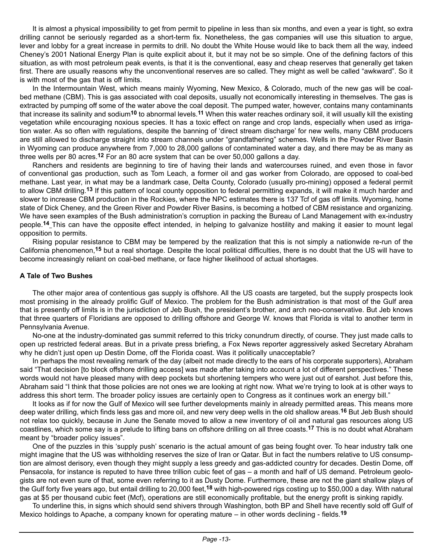It is almost a physical impossibility to get from permit to pipeline in less than six months, and even a year is tight, so extra drilling cannot be seriously regarded as a short-term fix. Nonetheless, the gas companies will use this situation to argue, lever and lobby for a great increase in permits to drill. No doubt the White House would like to back them all the way, indeed Cheney's 2001 National Energy Plan is quite explicit about it, but it may not be so simple. One of the defining factors of this situation, as with most petroleum peak events, is that it is the conventional, easy and cheap reserves that generally get taken first. There are usually reasons why the unconventional reserves are so called. They might as well be called "awkward". So it is with most of the gas that is off limits.

In the Intermountain West, which means mainly Wyoming, New Mexico, & Colorado, much of the new gas will be coalbed methane (CBM). This is gas associated with coal deposits, usually not economically interesting in themselves. The gas is extracted by pumping off some of the water above the coal deposit. The pumped water, however, contains many contaminants that increase its salinity and sodium**10** to abnormal levels.**11** When this water reaches ordinary soil, it will usually kill the existing vegetation while encouraging noxious species. It has a toxic effect on range and crop lands, especially when used as irrigation water. As so often with regulations, despite the banning of 'direct stream discharge' for new wells, many CBM producers are still allowed to discharge straight into stream channels under "grandfathering" schemes. Wells in the Powder River Basin in Wyoming can produce anywhere from 7,000 to 28,000 gallons of contaminated water a day, and there may be as many as three wells per 80 acres.**12** For an 80 acre system that can be over 50,000 gallons a day.

Ranchers and residents are beginning to tire of having their lands and watercourses ruined, and even those in favor of conventional gas production, such as Tom Leach, a former oil and gas worker from Colorado, are opposed to coal-bed methane. Last year, in what may be a landmark case, Delta County, Colorado (usually pro-mining) opposed a federal permit to allow CBM drilling.**13** If this pattern of local county opposition to federal permitting expands, it will make it much harder and slower to increase CBM production in the Rockies, where the NPC estimates there is 137 Tcf of gas off limits. Wyoming, home state of Dick Cheney, and the Green River and Powder River Basins, is becoming a hotbed of CBM resistance and organizing. We have seen examples of the Bush administration's corruption in packing the Bureau of Land Management with ex-industry people.**14** This can have the opposite effect intended, in helping to galvanize hostility and making it easier to mount legal opposition to permits.

Rising popular resistance to CBM may be tempered by the realization that this is not simply a nationwide re-run of the California phenomenon,**15** but a real shortage. Despite the local political difficulties, there is no doubt that the US will have to become increasingly reliant on coal-bed methane, or face higher likelihood of actual shortages.

#### **A Tale of Two Bushes**

The other major area of contentious gas supply is offshore. All the US coasts are targeted, but the supply prospects look most promising in the already prolific Gulf of Mexico. The problem for the Bush administration is that most of the Gulf area that is presently off limits is in the jurisdiction of Jeb Bush, the president's brother, and arch neo-conservative. But Jeb knows that three quarters of Floridians are opposed to drilling offshore and George W. knows that Florida is vital to another term in Pennsylvania Avenue.

No-one at the industry-dominated gas summit referred to this tricky conundrum directly, of course. They just made calls to open up restricted federal areas. But in a private press briefing, a Fox News reporter aggressively asked Secretary Abraham why he didn't just open up Destin Dome, off the Florida coast. Was it politically unacceptable?

In perhaps the most revealing remark of the day (albeit not made directly to the ears of his corporate supporters), Abraham said "That decision [to block offshore drilling access] was made after taking into account a lot of different perspectives." These words would not have pleased many with deep pockets but shortening tempers who were just out of earshot. Just before this, Abraham said "I think that those policies are not ones we are looking at right now. What we're trying to look at is other ways to address this short term. The broader policy issues are certainly open to Congress as it continues work an energy bill."

It looks as if for now the Gulf of Mexico will see further developments mainly in already permitted areas. This means more deep water drilling, which finds less gas and more oil, and new very deep wells in the old shallow areas.**16** But Jeb Bush should not relax too quickly, because in June the Senate moved to allow a new inventory of oil and natural gas resources along US coastlines, which some say is a prelude to lifting bans on offshore drilling on all three coasts.**17** This is no doubt what Abraham meant by "broader policy issues".

One of the puzzles in this 'supply push' scenario is the actual amount of gas being fought over. To hear industry talk one might imagine that the US was withholding reserves the size of Iran or Qatar. But in fact the numbers relative to US consumption are almost derisory, even though they might supply a less greedy and gas-addicted country for decades. Destin Dome, off Pensacola, for instance is reputed to have three trillion cubic feet of gas – a month and half of US demand. Petroleum geologists are not even sure of that, some even referring to it as Dusty Dome. Furthermore, these are not the giant shallow plays of the Gulf forty five years ago, but entail drilling to 20,000 feet,**18** with high-powered rigs costing up to \$50,000 a day. With natural gas at \$5 per thousand cubic feet (Mcf), operations are still economically profitable, but the energy profit is sinking rapidly.

To underline this, in signs which should send shivers through Washington, both BP and Shell have recently sold off Gulf of Mexico holdings to Apache, a company known for operating mature – in other words declining - fields.**19**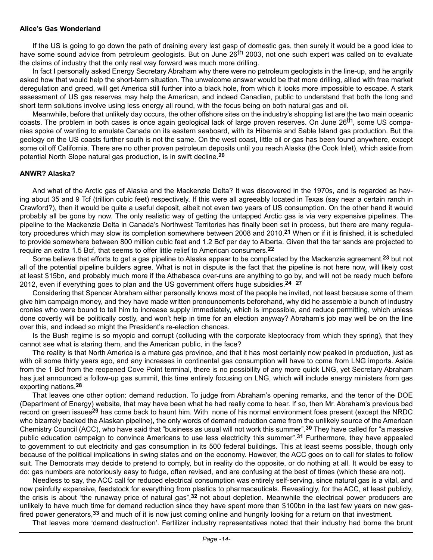#### **Alice's Gas Wonderland**

If the US is going to go down the path of draining every last gasp of domestic gas, then surely it would be a good idea to have some sound advice from petroleum geologists. But on June 26<sup>th</sup> 2003, not one such expert was called on to evaluate the claims of industry that the only real way forward was much more drilling.

In fact I personally asked Energy Secretary Abraham why there were no petroleum geologists in the line-up, and he angrily asked how that would help the short-term situation. The unwelcome answer would be that more drilling, allied with free market deregulation and greed, will get America still further into a black hole, from which it looks more impossible to escape. A stark assessment of US gas reserves may help the American, and indeed Canadian, public to understand that both the long and short term solutions involve using less energy all round, with the focus being on both natural gas and oil.

Meanwhile, before that unlikely day occurs, the other offshore sites on the industry's shopping list are the two main oceanic coasts. The problem in both cases is once again geological lack of large proven reserves. On June 26<sup>th</sup>, some US companies spoke of wanting to emulate Canada on its eastern seaboard, with its Hibernia and Sable Island gas production. But the geology on the US coasts further south is not the same. On the west coast, little oil or gas has been found anywhere, except some oil off California. There are no other proven petroleum deposits until you reach Alaska (the Cook Inlet), which aside from potential North Slope natural gas production, is in swift decline.**20**

#### **ANWR? Alaska?**

And what of the Arctic gas of Alaska and the Mackenzie Delta? It was discovered in the 1970s, and is regarded as having about 35 and 9 Tcf (trillion cubic feet) respectively. If this were all agreeably located in Texas (say near a certain ranch in Crawford?), then it would be quite a useful deposit, albeit not even two years of US consumption. On the other hand it would probably all be gone by now. The only realistic way of getting the untapped Arctic gas is via very expensive pipelines. The pipeline to the Mackenzie Delta in Canada's Northwest Territories has finally been set in process, but there are many regulatory procedures which may slow its completion somewhere between 2008 and 2010.**21** When or if it is finished, it is scheduled to provide somewhere between 800 million cubic feet and 1.2 Bcf per day to Alberta. Given that the tar sands are projected to require an extra 1.5 Bcf, that seems to offer little relief to American consumers.**22**

Some believe that efforts to get a gas pipeline to Alaska appear to be complicated by the Mackenzie agreement,**23** but not all of the potential pipeline builders agree. What is not in dispute is the fact that the pipeline is not here now, will likely cost at least \$15bn, and probably much more if the Athabasca over-runs are anything to go by, and will not be ready much before 2012, even if everything goes to plan and the US government offers huge subsidies.**24 27**

Considering that Spencer Abraham either personally knows most of the people he invited, not least because some of them give him campaign money, and they have made written pronouncements beforehand, why did he assemble a bunch of industry cronies who were bound to tell him to increase supply immediately, which is impossible, and reduce permitting, which unless done covertly will be politically costly, and won't help in time for an election anyway? Abraham's job may well be on the line over this, and indeed so might the President's re-election chances.

Is the Bush regime is so myopic and corrupt (colluding with the corporate kleptocracy from which they spring), that they cannot see what is staring them, and the American public, in the face?

The reality is that North America is a mature gas province, and that it has most certainly now peaked in production, just as with oil some thirty years ago, and any increases in continental gas consumption will have to come from LNG imports. Aside from the 1 Bcf from the reopened Cove Point terminal, there is no possibility of any more quick LNG, yet Secretary Abraham has just announced a follow-up gas summit, this time entirely focusing on LNG, which will include energy ministers from gas exporting nations.**28**

That leaves one other option: demand reduction. To judge from Abraham's opening remarks, and the tenor of the DOE (Department of Energy) website, that may have been what he had really come to hear. If so, then Mr. Abraham's previous bad record on green issues**29** has come back to haunt him. With none of his normal environment foes present (except the NRDC who bizarrely backed the Alaskan pipeline), the only words of demand reduction came from the unlikely source of the American Chemistry Council (ACC), who have said that "business as usual will not work this summer".**30** They have called for "a massive public education campaign to convince Americans to use less electricity this summer".**31** Furthermore, they have appealed to government to cut electricity and gas consumption in its 500 federal buildings. This at least seems possible, though only because of the political implications in swing states and on the economy. However, the ACC goes on to call for states to follow suit. The Democrats may decide to pretend to comply, but in reality do the opposite, or do nothing at all. It would be easy to do: gas numbers are notoriously easy to fudge, often revised, and are confusing at the best of times (which these are not).

Needless to say, the ACC call for reduced electrical consumption was entirely self-serving, since natural gas is a vital, and now painfully expensive, feedstock for everything from plastics to pharmaceuticals. Revealingly, for the ACC, at least publicly, the crisis is about "the runaway price of natural gas",**32** not about depletion. Meanwhile the electrical power producers are unlikely to have much time for demand reduction since they have spent more than \$100bn in the last few years on new gasfired power generators,**33** and much of it is now just coming online and hungrily looking for a return on that investment.

That leaves more 'demand destruction'. Fertilizer industry representatives noted that their industry had borne the brunt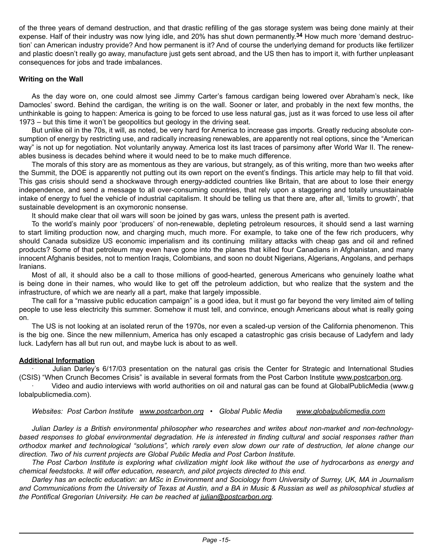of the three years of demand destruction, and that drastic refilling of the gas storage system was being done mainly at their expense. Half of their industry was now lying idle, and 20% has shut down permanently.**34** How much more 'demand destruction' can American industry provide? And how permanent is it? And of course the underlying demand for products like fertilizer and plastic doesn't really go away, manufacture just gets sent abroad, and the US then has to import it, with further unpleasant consequences for jobs and trade imbalances.

#### **Writing on the Wall**

As the day wore on, one could almost see Jimmy Carter's famous cardigan being lowered over Abraham's neck, like Damocles' sword. Behind the cardigan, the writing is on the wall. Sooner or later, and probably in the next few months, the unthinkable is going to happen: America is going to be forced to use less natural gas, just as it was forced to use less oil after 1973 – but this time it won't be geopolitics but geology in the driving seat.

But unlike oil in the 70s, it will, as noted, be very hard for America to increase gas imports. Greatly reducing absolute consumption of energy by restricting use, and radically increasing renewables, are apparently not real options, since the "American way" is not up for negotiation. Not voluntarily anyway. America lost its last traces of parsimony after World War II. The renewables business is decades behind where it would need to be to make much difference.

The morals of this story are as momentous as they are various, but strangely, as of this writing, more than two weeks after the Summit, the DOE is apparently not putting out its own report on the event's findings. This article may help to fill that void. This gas crisis should send a shockwave through energy-addicted countries like Britain, that are about to lose their energy independence, and send a message to all over-consuming countries, that rely upon a staggering and totally unsustainable intake of energy to fuel the vehicle of industrial capitalism. It should be telling us that there are, after all, 'limits to growth', that sustainable development is an oxymoronic nonsense.

It should make clear that oil wars will soon be joined by gas wars, unless the present path is averted.

To the world's mainly poor 'producers' of non-renewable, depleting petroleum resources, it should send a last warning to start limiting production now, and charging much, much more. For example, to take one of the few rich producers, why should Canada subsidize US economic imperialism and its continuing military attacks with cheap gas and oil and refined products? Some of that petroleum may even have gone into the planes that killed four Canadians in Afghanistan, and many innocent Afghanis besides, not to mention Iraqis, Colombians, and soon no doubt Nigerians, Algerians, Angolans, and perhaps Iranians.

Most of all, it should also be a call to those millions of good-hearted, generous Americans who genuinely loathe what is being done in their names, who would like to get off the petroleum addiction, but who realize that the system and the infrastructure, of which we are nearly all a part, make that largely impossible.

The call for a "massive public education campaign" is a good idea, but it must go far beyond the very limited aim of telling people to use less electricity this summer. Somehow it must tell, and convince, enough Americans about what is really going on.

The US is not looking at an isolated rerun of the 1970s, nor even a scaled-up version of the California phenomenon. This is the big one. Since the new millennium, America has only escaped a catastrophic gas crisis because of Ladyfern and lady luck. Ladyfern has all but run out, and maybe luck is about to as well.

#### **Additional Information**

· Julian Darley's 6/17/03 presentation on the natural gas crisis the Center for Strategic and International Studies (CSIS) "When Crunch Becomes Crisis" is available in several formats from the Post Carbon Institute www.postcarbon.org.

· Video and audio interviews with world authorities on oil and natural gas can be found at GlobalPublicMedia (www.g lobalpublicmedia.com).

*Websites: Post Carbon Institute www.postcarbon.org* • *Global Public Media www.globalpublicmedia.com*

*Julian Darley is a British environmental philosopher who researches and writes about non-market and non-technologybased responses to global environmental degradation. He is interested in finding cultural and social responses rather than orthodox market and technological "solutions", which rarely even slow down our rate of destruction, let alone change our direction. Two of his current projects are Global Public Media and Post Carbon Institute.*

*The Post Carbon Institute is exploring what civilization might look like without the use of hydrocarbons as energy and chemical feedstocks. It will offer education, research, and pilot projects directed to this end.* 

*Darley has an eclectic education: an MSc in Environment and Sociology from University of Surrey, UK, MA in Journalism and Communications from the University of Texas at Austin, and a BA in Music & Russian as well as philosophical studies at the Pontifical Gregorian University. He can be reached at julian@postcarbon.org.*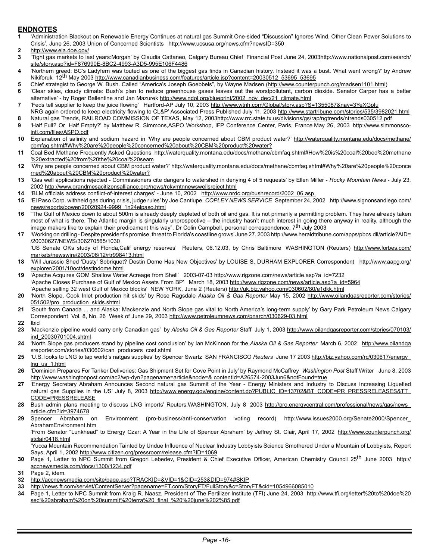#### **ENDNOTES**

- **1** 'Administration Blackout on Renewable Energy Continues at natural gas Summit One-sided "Discussion" Ignores Wind, Other Clean Power Solutions to Crisis', June 26, 2003 Union of Concerned Scientists http://www.ucsusa.org/news.cfm?newsID=350
- **2** http://www.eia.doe.gov/
- **3** 'Tight gas markets to last years:Morgan' by Claudia Cattaneo, Calgary Bureau Chief Financial Post June 24, 2003http://www.nationalpost.com/search/ site/story.asp?id=F876990E-8BC2-4993-A3D5-995E106F4486
- **4** 'Northern greed: BC's Ladyfern was touted as one of the biggest gas finds in Canadian history. Instead it was a bust. What went wrong?' by Andrew Nikiforuk 12<sup>th</sup> May 2003 http://www.canadianbusiness.com/features/article.jsp?content=20030512\_53695\_53695
- 5 Chief strategist to George W. Bush. Called "America's Joseph Goebbels", by Wayne Madsen (http://www.counterpunch.org/madsen1101.html)
- **6** 'Clear skies, cloudy climate: Bush's plan to reduce greenhouse gases leaves out the worstpollutant, carbon dioxide. Senator Carper has a better alternative' - by Roger Ballentine and Jan Mazurek http://www.ndol.org/blueprint/2002\_nov\_dec/21\_climate.html
- **7** 'Feds tell supplier to keep the juice flowing' Hartford-AP July 10, 2003 http://www.wtnh.com/Global/story.asp?S=1355087&nav=3YeXGpIu
- NRG again ordered to keep electricity flowing to CL&P' Associated Press Published July 11, 2003 http://www.startribune.com/stories/535/3982021.html **8** Natural gas Trends, RAILROAD COMMISSION OF TEXAS, May 12, 2003http://www.rrc.state.tx.us/divisions/gs/rap/ngtrends/ntrends030512.pdf
- **9** 'Half Full? Or Half Empty?' by Matthew R. Simmons,ASPO Workshop, IFP Conference Center, Paris, France May 26, 2003 http://www.simmonscointl.com/files/ASPO.pdf
- **10** Explanation of salinity and sodium hazard in 'Why are people concerned about CBM product water?' http://waterquality.montana.edu/docs/methane/ cbmfaq.shtml#Why%20are%20people%20concerned%20about%20CBM%20product%20water?
- **11** Coal Bed Methane Frequently Asked Questions http://waterquality.montana.edu/docs/methane/cbmfaq.shtml#How%20is%20coal%20bed%20methane %20extracted%20from%20the%20coal%20seam
- **12** 'Why are people concerned about CBM product water?' http://waterquality.montana.edu/docs/methane/cbmfaq.shtml#Why%20are%20people%20conce rned%20about%20CBM%20product%20water?
- **13** 'Gas well applications rejected Commissioners cite dangers to watershed in denying 4 of 5 requests' by Ellen Miller *Rocky Mountain News* July 23, 2002 http://www.grandmesacitizensalliance.org/news/rckymtnnewswellsreject.html
- **14** 'BLM officials address conflict-of-interest charges' June 10, 2002 http://www.nrdc.org/bushrecord/2002\_06.asp
- **15** 'El Paso Corp. withheld gas during crisis, judge rules' by Joe Cantlupe *COPLEY NEWS SERVICE* September 24, 2002 http://www.signonsandiego.com/ news/reports/power/20020924-9999\_1n24elpaso.html
- **16** "The Gulf of Mexico down to about 500m is already deeply depleted of both oil and gas. It is not primarily a permitting problem. They have already taken most of what is there. The Atlantic margin is singularly unprospective – the industry hasn't much interest in going there anyway in reality, although the<br>image makers like to explain their predicament this way". Dr Colin C
- **17** 'Working on drilling Despite president's promise, threat to Florida's coastline grows' June 27. 2003 http://www.heraldtribune.com/apps/pbcs.dll/article?AID= /20030627/NEWS/306270565/1030
	- 'US Senate OKs study of Florida,Calif energy reserves' Reuters, 06.12.03, by Chris Baltimore WASHINGTON (Reuters) http://www.forbes.com/ markets/newswire/2003/06/12/rtr998413.html
- **18** 'Will Jurassic Shed 'Dusty' Sobriquet? Destin Dome Has New Objectives' by LOUISE S. DURHAM EXPLORER Correspondent http://www.aapg.org/ explorer/2001/10oct/destindome.html
- **19** 'Apache Acquires GOM Shallow Water Acreage from Shell' 2003-07-03 http://www.rigzone.com/news/article.asp?a\_id=7232 'Apache Closes Purchase of Gulf of Mexico Assets From BP' March 18, 2003 http://www.rigzone.com/news/article.asp?a\_id=5964 'Apache selling 32 west Gulf of Mexico blocks' NEW YORK, June 2 (Reuters) http://uk.biz.yahoo.com/030602/80/e1dkk.html
- **20** 'North Slope, Cook Inlet production hit skids' by Rose Ragsdale *Alaska Oil & Gas Reporter* May 15, 2002 http://www.oilandgasreporter.com/stories/ 051502/pro\_production\_skids.shtml
- **21** 'South from Canada ... and Alaska: Mackenzie and North Slope gas vital to North America's long-term supply' by Gary Park Petroleum News Calgary Correspondent Vol. 8, No. 26 Week of June 29, 2003 http://www.petroleumnews.com/pnarch/030629-03.html
- **22** Ibid
- **23** 'Mackenzie pipeline would carry only Canadian gas' by *Alaska Oil & Gas Reporter* Staff July 1, 2003 http://www.oilandgasreporter.com/stories/070103/ ind\_20030701004.shtml
- **24** 'North Slope gas producers stand by pipeline cost conclusion' by Ian McKinnon for the *Alaska Oil & Gas Reporter* March 6, 2002 http://www.oilandga sreporter.com/stories/030602/can\_producers\_cost.shtml
- **25** 'U.S. looks to LNG to tap world's natgas supplies' by Spencer Swartz SAN FRANCISCO *Reuters* June 17 2003 http://biz.yahoo.com/rc/030617/energy\_ lng\_us\_1.html
- **26** 'Dominion Prepares For Tanker Deliveries: Gas Shipment Set for Cove Point in July' by Raymond McCaffrey *Washington Post* Staff Writer June 8, 2003 http://www.washingtonpost.com/ac2/wp-dyn?pagename=article&node=& contentId=A26574-2003Jun6&notFound=true
- **27** 'Energy Secretary Abraham Announces Second natural gas Summit of the Year Energy Ministers and Industry to Discuss Increasing Liquefied natural gas Supplies in the US' July 8, 2003 http://www.energy.gov/engine/content.do?PUBLIC\_ID=13702&BT\_CODE=PR\_PRESSRELEASES&TT\_ CODE=PRESSRELEASE
- **28** Bush admin plans meeting to discuss LNG imports' Reuters:WASHINGTON, July 8 2003 http://pro.energycentral.com/professional/news/gas/news\_ article.cfm?id=3974678
- **29** Spencer Abraham on Environment (pro-business/anti-conservation voting record) http://www.issues2000.org/Senate2000/Spencer\_ AbrahamEnvironment.htm
	- 'From Senator "Lunkhead" to Energy Czar: A Year in the Life of Spencer Abraham' by Jeffrey St. Clair, April 17, 2002 http://www.counterpunch.org/ stclair0418.html

 'Yucca Mountain Recommendation Tainted by Undue Influence of Nuclear Industry Lobbyists Science Smothered Under a Mountain of Lobbyists, Report Says, April 1, 2002 http://www.citizen.org/pressroom/release.cfm?ID=1069

- **30** Page 1, Letter to NPC Summit from Gregori Lebedev, President & Chief Executive Officer, American Chemistry Council 25th June 2003 http:// accnewsmedia.com/docs/1300/1234.pdf
- **31** Page 2, idem.
- **32** http://accnewsmedia.com/site/page.asp?TRACKID=&VID=1&CID=253&DID=974#SKIP
- **33** http://news.ft.com/servlet/ContentServer?pagename=FT.com/StoryFT/FullStory&c=StoryFT&cid=1054966085010<br>**34** Page 1. Letter to NPC Summit from Kraig R. Naasz. President of The Fertilizer Institute (TFI) June 24, 2003 h
- **34** Page 1, Letter to NPC Summit from Kraig R. Naasz, President of The Fertilizer Institute (TFI) June 24, 2003 http://www.tfi.org/letter%20to%20doe%20 sec%20abraham%20on%20summit%20terra%20\_final\_%20%20june%202%85.pdf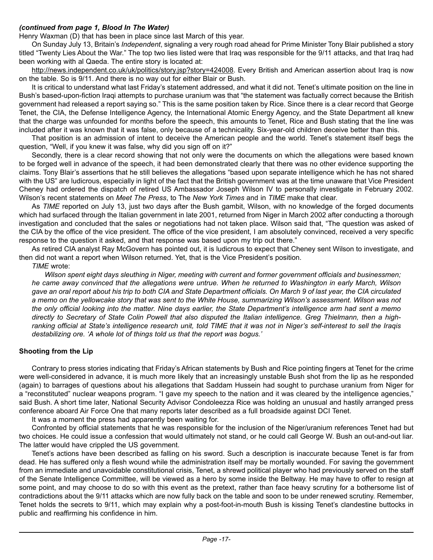#### *(continued from page 1, Blood In The Water)*

Henry Waxman (D) that has been in place since last March of this year.

On Sunday July 13, Britain's *Independent*, signaling a very rough road ahead for Prime Minister Tony Blair published a story titled "Twenty Lies About the War." The top two lies listed were that Iraq was responsible for the 9/11 attacks, and that Iraq had been working with al Qaeda. The entire story is located at:

http://news.independent.co.uk/uk/politics/story.jsp?story=424008. Every British and American assertion about Iraq is now on the table. So is 9/11. And there is no way out for either Blair or Bush.

It is critical to understand what last Friday's statement addressed, and what it did not. Tenet's ultimate position on the line in Bush's based-upon-fiction Iraqi attempts to purchase uranium was that "the statement was factually correct because the British government had released a report saying so." This is the same position taken by Rice. Since there is a clear record that George Tenet, the CIA, the Defense Intelligence Agency, the International Atomic Energy Agency, and the State Department all knew that the charge was unfounded for months before the speech, this amounts to Tenet, Rice and Bush stating that the line was included after it was known that it was false, only because of a technicality. Six-year-old children deceive better than this.

That position is an admission of intent to deceive the American people and the world. Tenet's statement itself begs the question, "Well, if you knew it was false, why did you sign off on it?"

Secondly, there is a clear record showing that not only were the documents on which the allegations were based known to be forged well in advance of the speech, it had been demonstrated clearly that there was no other evidence supporting the claims. Tony Blair's assertions that he still believes the allegations "based upon separate intelligence which he has not shared with the US" are ludicrous, especially in light of the fact that the British government was at the time unaware that Vice President Cheney had ordered the dispatch of retired US Ambassador Joseph Wilson IV to personally investigate in February 2002. Wilson's recent statements on *Meet The Press*, to The *New York Times* and in *TIME* make that clear.

As *TIME* reported on July 13, just two days after the Bush gambit, Wilson, with no knowledge of the forged documents which had surfaced through the Italian government in late 2001, returned from Niger in March 2002 after conducting a thorough investigation and concluded that the sales or negotiations had not taken place. Wilson said that, "The question was asked of the CIA by the office of the vice president. The office of the vice president, I am absolutely convinced, received a very specific response to the question it asked, and that response was based upon my trip out there."

As retired CIA analyst Ray McGovern has pointed out, it is ludicrous to expect that Cheney sent Wilson to investigate, and then did not want a report when Wilson returned. Yet, that is the Vice President's position.

*TIME* wrote:

*Wilson spent eight days sleuthing in Niger, meeting with current and former government officials and businessmen; he came away convinced that the allegations were untrue. When he returned to Washington in early March, Wilson gave an oral report about his trip to both CIA and State Department officials. On March 9 of last year, the CIA circulated a memo on the yellowcake story that was sent to the White House, summarizing Wilson's assessment. Wilson was not the only official looking into the matter. Nine days earlier, the State Department's intelligence arm had sent a memo directly to Secretary of State Colin Powell that also disputed the Italian intelligence. Greg Thielmann, then a highranking official at State's intelligence research unit, told TIME that it was not in Niger's self-interest to sell the Iraqis destabilizing ore. 'A whole lot of things told us that the report was bogus.'*

#### **Shooting from the Lip**

Contrary to press stories indicating that Friday's African statements by Bush and Rice pointing fingers at Tenet for the crime were well-considered in advance, it is much more likely that an increasingly unstable Bush shot from the lip as he responded (again) to barrages of questions about his allegations that Saddam Hussein had sought to purchase uranium from Niger for a "reconstituted" nuclear weapons program. "I gave my speech to the nation and it was cleared by the intelligence agencies," said Bush. A short time later, National Security Advisor Condoleezza Rice was holding an unusual and hastily arranged press conference aboard Air Force One that many reports later described as a full broadside against DCI Tenet.

It was a moment the press had apparently been waiting for.

Confronted by official statements that he was responsible for the inclusion of the Niger/uranium references Tenet had but two choices. He could issue a confession that would ultimately not stand, or he could call George W. Bush an out-and-out liar. The latter would have crippled the US government.

Tenet's actions have been described as falling on his sword. Such a description is inaccurate because Tenet is far from dead. He has suffered only a flesh wound while the administration itself may be mortally wounded. For saving the government from an immediate and unavoidable constitutional crisis, Tenet, a shrewd political player who had previously served on the staff of the Senate Intelligence Committee, will be viewed as a hero by some inside the Beltway. He may have to offer to resign at some point, and may choose to do so with this event as the pretext, rather than face heavy scrutiny for a bothersome list of contradictions about the 9/11 attacks which are now fully back on the table and soon to be under renewed scrutiny. Remember, Tenet holds the secrets to 9/11, which may explain why a post-foot-in-mouth Bush is kissing Tenet's clandestine buttocks in public and reaffirming his confidence in him.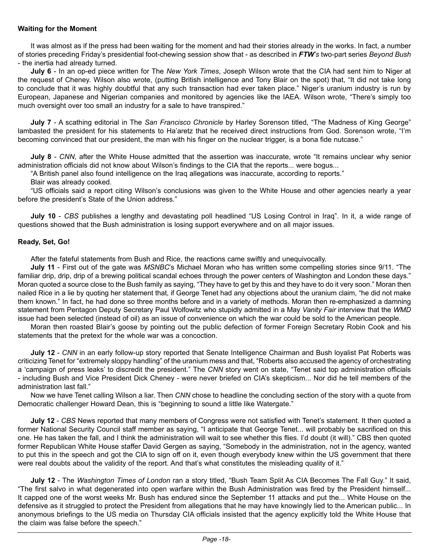#### **Waiting for the Moment**

It was almost as if the press had been waiting for the moment and had their stories already in the works. In fact, a number of stories preceding Friday's presidential foot-chewing session show that - as described in *FTW's* two-part series *Beyond Bush* - the inertia had already turned.

**July 6** - In an op-ed piece written for The *New York Times*, Joseph Wilson wrote that the CIA had sent him to Niger at the request of Cheney. Wilson also wrote, (putting British intelligence and Tony Blair on the spot) that, "It did not take long to conclude that it was highly doubtful that any such transaction had ever taken place." Niger's uranium industry is run by European, Japanese and Nigerian companies and monitored by agencies like the IAEA. Wilson wrote, "There's simply too much oversight over too small an industry for a sale to have transpired."

**July 7** - A scathing editorial in The *San Francisco Chronicle* by Harley Sorenson titled, "The Madness of King George" lambasted the president for his statements to Ha'aretz that he received direct instructions from God. Sorenson wrote, "I'm becoming convinced that our president, the man with his finger on the nuclear trigger, is a bona fide nutcase."

**July 8** - *CNN*, after the White House admitted that the assertion was inaccurate, wrote "It remains unclear why senior administration officials did not know about Wilson's findings to the CIA that the reports... were bogus...

"A British panel also found intelligence on the Iraq allegations was inaccurate, according to reports."

Blair was already cooked.

"US officials said a report citing Wilson's conclusions was given to the White House and other agencies nearly a year before the president's State of the Union address."

**July 10** - *CBS* publishes a lengthy and devastating poll headlined "US Losing Control in Iraq". In it, a wide range of questions showed that the Bush administration is losing support everywhere and on all major issues.

#### **Ready, Set, Go!**

After the fateful statements from Bush and Rice, the reactions came swiftly and unequivocally.

**July 11** - First out of the gate was *MSNBC*'s Michael Moran who has written some compelling stories since 9/11. "The familiar drip, drip, drip of a brewing political scandal echoes through the power centers of Washington and London these days." Moran quoted a source close to the Bush family as saying, "They have to get by this and they have to do it very soon." Moran then nailed Rice in a lie by quoting her statement that, if George Tenet had any objections about the uranium claim, "he did not make them known." In fact, he had done so three months before and in a variety of methods. Moran then re-emphasized a damning statement from Pentagon Deputy Secretary Paul Wolfowitz who stupidly admitted in a May *Vanity Fair* interview that the *WMD*  issue had been selected (instead of oil) as an issue of convenience on which the war could be sold to the American people.

Moran then roasted Blair's goose by pointing out the public defection of former Foreign Secretary Robin Cook and his statements that the pretext for the whole war was a concoction.

**July 12** - *CNN* in an early follow-up story reported that Senate Intelligence Chairman and Bush loyalist Pat Roberts was criticizing Tenet for "extremely sloppy handling" of the uranium mess and that, "Roberts also accused the agency of orchestrating a 'campaign of press leaks' to discredit the president." The *CNN* story went on state, "Tenet said top administration officials - including Bush and Vice President Dick Cheney - were never briefed on CIA's skepticism... Nor did he tell members of the administration last fall."

Now we have Tenet calling Wilson a liar. Then *CNN* chose to headline the concluding section of the story with a quote from Democratic challenger Howard Dean, this is "beginning to sound a little like Watergate."

**July 12** - *CBS* News reported that many members of Congress were not satisfied with Tenet's statement. It then quoted a former National Security Council staff member as saying, "I anticipate that George Tenet... will probably be sacrificed on this one. He has taken the fall, and I think the administration will wait to see whether this flies. I'd doubt (it will)." CBS then quoted former Republican White House staffer David Gergen as saying, "Somebody in the administration, not in the agency, wanted to put this in the speech and got the CIA to sign off on it, even though everybody knew within the US government that there were real doubts about the validity of the report. And that's what constitutes the misleading quality of it."

**July 12** - The *Washington Times of London* ran a story titled, "Bush Team Split As CIA Becomes The Fall Guy." It said, "The first salvo in what degenerated into open warfare within the Bush Administration was fired by the President himself... It capped one of the worst weeks Mr. Bush has endured since the September 11 attacks and put the... White House on the defensive as it struggled to protect the President from allegations that he may have knowingly lied to the American public... In anonymous briefings to the US media on Thursday CIA officials insisted that the agency explicitly told the White House that the claim was false before the speech."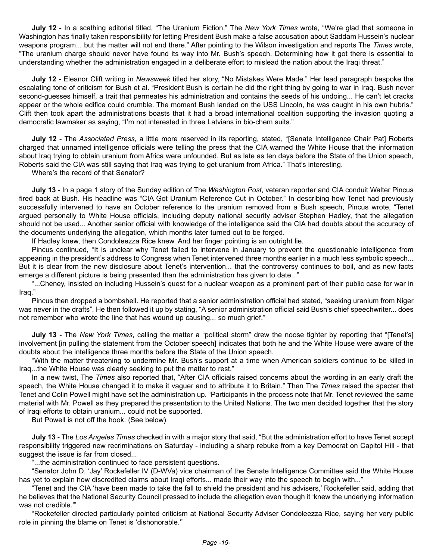**July 12** - In a scathing editorial titled, "The Uranium Fiction," The *New York Times* wrote, "We're glad that someone in Washington has finally taken responsibility for letting President Bush make a false accusation about Saddam Hussein's nuclear weapons program... but the matter will not end there." After pointing to the Wilson investigation and reports The *Times* wrote, "The uranium charge should never have found its way into Mr. Bush's speech. Determining how it got there is essential to understanding whether the administration engaged in a deliberate effort to mislead the nation about the Iraqi threat."

**July 12** - Eleanor Clift writing in *Newsweek* titled her story, "No Mistakes Were Made." Her lead paragraph bespoke the escalating tone of criticism for Bush et al. "President Bush is certain he did the right thing by going to war in Iraq. Bush never second-guesses himself, a trait that permeates his administration and contains the seeds of his undoing... He can't let cracks appear or the whole edifice could crumble. The moment Bush landed on the USS Lincoln, he was caught in his own hubris." Clift then took apart the administrations boasts that it had a broad international coalition supporting the invasion quoting a democratic lawmaker as saying, "I'm not interested in three Latvians in bio-chem suits."

**July 12** - The *Associated Press*, a little more reserved in its reporting, stated, "[Senate Intelligence Chair Pat] Roberts charged that unnamed intelligence officials were telling the press that the CIA warned the White House that the information about Iraq trying to obtain uranium from Africa were unfounded. But as late as ten days before the State of the Union speech, Roberts said the CIA was still saying that Iraq was trying to get uranium from Africa." That's interesting.

Where's the record of that Senator?

**July 13** - In a page 1 story of the Sunday edition of The *Washington Post*, veteran reporter and CIA conduit Walter Pincus fired back at Bush. His headline was "CIA Got Uranium Reference Cut in October." In describing how Tenet had previously successfully intervened to have an October reference to the uranium removed from a Bush speech, Pincus wrote, "Tenet argued personally to White House officials, including deputy national security adviser Stephen Hadley, that the allegation should not be used... Another senior official with knowledge of the intelligence said the CIA had doubts about the accuracy of the documents underlying the allegation, which months later turned out to be forged.

If Hadley knew, then Condoleezza Rice knew. And her finger pointing is an outright lie.

Pincus continued, "It is unclear why Tenet failed to intervene in January to prevent the questionable intelligence from appearing in the president's address to Congress when Tenet intervened three months earlier in a much less symbolic speech... But it is clear from the new disclosure about Tenet's intervention... that the controversy continues to boil, and as new facts emerge a different picture is being presented than the administration has given to date..."

"...Cheney, insisted on including Hussein's quest for a nuclear weapon as a prominent part of their public case for war in Iraq."

Pincus then dropped a bombshell. He reported that a senior administration official had stated, "seeking uranium from Niger was never in the drafts". He then followed it up by stating, "A senior administration official said Bush's chief speechwriter... does not remember who wrote the line that has wound up causing... so much grief."

**July 13** - The *New York Times*, calling the matter a "political storm" drew the noose tighter by reporting that "[Tenet's] involvement [in pulling the statement from the October speech] indicates that both he and the White House were aware of the doubts about the intelligence three months before the State of the Union speech.

"With the matter threatening to undermine Mr. Bush's support at a time when American soldiers continue to be killed in Iraq...the White House was clearly seeking to put the matter to rest."

In a new twist, The *Times* also reported that, "After CIA officials raised concerns about the wording in an early draft the speech, the White House changed it to make it vaguer and to attribute it to Britain." Then The *Times* raised the specter that Tenet and Colin Powell might have set the administration up. "Participants in the process note that Mr. Tenet reviewed the same material with Mr. Powell as they prepared the presentation to the United Nations. The two men decided together that the story of Iraqi efforts to obtain uranium... could not be supported.

But Powell is not off the hook. (See below)

**July 13** - The *Los Angeles Times* checked in with a major story that said, "But the administration effort to have Tenet accept responsibility triggered new recriminations on Saturday - including a sharp rebuke from a key Democrat on Capitol Hill - that suggest the issue is far from closed...

"...the administration continued to face persistent questions.

"Senator John D. 'Jay' Rockefeller IV (D-WVa) vice chairman of the Senate Intelligence Committee said the White House has yet to explain how discredited claims about Iraqi efforts... made their way into the speech to begin with..."

"Tenet and the CIA 'have been made to take the fall to shield the president and his advisers,' Rockefeller said, adding that he believes that the National Security Council pressed to include the allegation even though it 'knew the underlying information was not credible.'"

"Rockefeller directed particularly pointed criticism at National Security Adviser Condoleezza Rice, saying her very public role in pinning the blame on Tenet is 'dishonorable.'"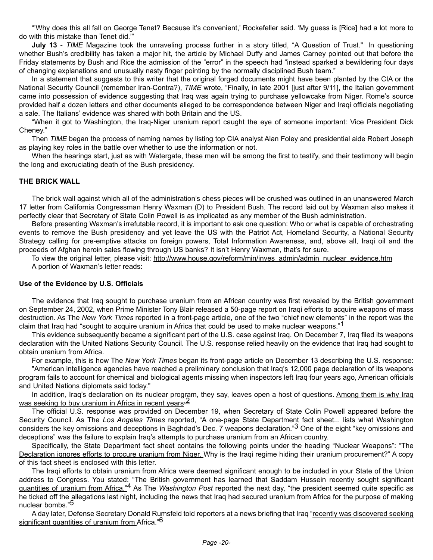"'Why does this all fall on George Tenet? Because it's convenient,' Rockefeller said. 'My guess is [Rice] had a lot more to do with this mistake than Tenet did.'"

**July 13** - *TIME* Magazine took the unraveling process further in a story titled, "A Question of Trust." In questioning whether Bush's credibility has taken a major hit, the article by Michael Duffy and James Carney pointed out that before the Friday statements by Bush and Rice the admission of the "error" in the speech had "instead sparked a bewildering four days of changing explanations and unusually nasty finger pointing by the normally disciplined Bush team."

In a statement that suggests to this writer that the original forged documents might have been planted by the CIA or the National Security Council (remember Iran-Contra?), *TIME* wrote, "Finally, in late 2001 [just after 9/11], the Italian government came into possession of evidence suggesting that Iraq was again trying to purchase yellowcake from Niger. Rome's source provided half a dozen letters and other documents alleged to be correspondence between Niger and Iraqi officials negotiating a sale. The Italians' evidence was shared with both Britain and the US.

"When it got to Washington, the Iraq-Niger uranium report caught the eye of someone important: Vice President Dick Cheney."

Then *TIME* began the process of naming names by listing top CIA analyst Alan Foley and presidential aide Robert Joseph as playing key roles in the battle over whether to use the information or not.

When the hearings start, just as with Watergate, these men will be among the first to testify, and their testimony will begin the long and excruciating death of the Bush presidency.

#### **THE BRICK WALL**

The brick wall against which all of the administration's chess pieces will be crushed was outlined in an unanswered March 17 letter from California Congressman Henry Waxman (D) to President Bush. The record laid out by Waxman also makes it perfectly clear that Secretary of State Colin Powell is as implicated as any member of the Bush administration.

Before presenting Waxman's irrefutable record, it is important to ask one question: Who or what is capable of orchestrating events to remove the Bush presidency and yet leave the US with the Patriot Act, Homeland Security, a National Security Strategy calling for pre-emptive attacks on foreign powers, Total Information Awareness, and, above all, Iraqi oil and the proceeds of Afghan heroin sales flowing through US banks? It isn't Henry Waxman, that's for sure.

To view the original letter, please visit: http://www.house.gov/reform/min/inves\_admin/admin\_nuclear\_evidence.htm A portion of Waxman's letter reads:

#### **Use of the Evidence by U.S. Officials**

The evidence that Iraq sought to purchase uranium from an African country was first revealed by the British government on September 24, 2002, when Prime Minister Tony Blair released a 50-page report on Iraqi efforts to acquire weapons of mass destruction. As The *New York Times* reported in a front-page article, one of the two "chief new elements" in the report was the claim that Iraq had "sought to acquire uranium in Africa that could be used to make nuclear weapons."<sup>1</sup>

This evidence subsequently became a significant part of the U.S. case against Iraq. On December 7, Iraq filed its weapons declaration with the United Nations Security Council. The U.S. response relied heavily on the evidence that Iraq had sought to obtain uranium from Africa.

For example, this is how The *New York Times* began its front-page article on December 13 describing the U.S. response: "American intelligence agencies have reached a preliminary conclusion that Iraq's 12,000 page declaration of its weapons program fails to account for chemical and biological agents missing when inspectors left Iraq four years ago, American officials and United Nations diplomats said today."

In addition, Iraq's declaration on its nuclear program, they say, leaves open a host of questions. Among them is why Iraq was seeking to buy uranium in Africa in recent years.<sup>2</sup>

The official U.S. response was provided on December 19, when Secretary of State Colin Powell appeared before the Security Council. As The *Los Angeles Times* reported, "A one-page State Department fact sheet... lists what Washington considers the key omissions and deceptions in Baghdad's Dec. 7 weapons declaration."3 One of the eight "key omissions and deceptions" was the failure to explain Iraq's attempts to purchase uranium from an African country.

Specifically, the State Department fact sheet contains the following points under the heading "Nuclear Weapons": "The Declaration ignores efforts to procure uranium from Niger. Why is the Iraqi regime hiding their uranium procurement?" A copy of this fact sheet is enclosed with this letter.

The Iraqi efforts to obtain uranium from Africa were deemed significant enough to be included in your State of the Union address to Congress. You stated: "The British government has learned that Saddam Hussein recently sought significant quantities of uranium from Africa."4 As The *Washington Post* reported the next day, "the president seemed quite specific as he ticked off the allegations last night, including the news that Iraq had secured uranium from Africa for the purpose of making nuclear bombs."5

A day later, Defense Secretary Donald Rumsfeld told reporters at a news briefing that Iraq "recently was discovered seeking significant quantities of uranium from Africa."<sup>6</sup>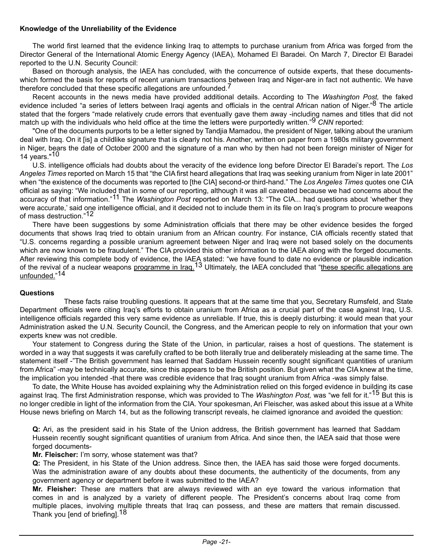#### **Knowledge of the Unreliability of the Evidence**

The world first learned that the evidence linking Iraq to attempts to purchase uranium from Africa was forged from the Director General of the International Atomic Energy Agency (IAEA), Mohamed El Baradei. On March 7, Director El Baradei reported to the U.N. Security Council:

Based on thorough analysis, the IAEA has concluded, with the concurrence of outside experts, that these documentswhich formed the basis for reports of recent uranium transactions between Iraq and Niger-are in fact not authentic. We have therefore concluded that these specific allegations are unfounded.<sup>1</sup>

Recent accounts in the news media have provided additional details. According to The *Washington Post,* the faked evidence included "a series of letters between Iraqi agents and officials in the central African nation of Niger."<sup>8</sup> The article stated that the forgers "made relatively crude errors that eventually gave them away -including names and titles that did not match up with the individuals who held office at the time the letters were purportedly written."9 *CNN* reported:

"One of the documents purports to be a letter signed by Tandjia Mamadou, the president of Niger, talking about the uranium deal with Iraq. On it [is] a childlike signature that is clearly not his. Another, written on paper from a 1980s military government in Niger, bears the date of October 2000 and the signature of a man who by then had not been foreign minister of Niger for 14 years."<sup>10</sup>

U.S. intelligence officials had doubts about the veracity of the evidence long before Director El Baradei's report. The *Los Angeles Times* reported on March 15 that "the CIA first heard allegations that Iraq was seeking uranium from Niger in late 2001" when "the existence of the documents was reported to [the CIA] second-or third-hand." The *Los Angeles Times* quotes one CIA official as saying: "We included that in some of our reporting, although it was all caveated because we had concerns about the accuracy of that information."11 The *Washington Post* reported on March 13: "The CIA... had questions about 'whether they were accurate.' said one intelligence official, and it decided not to include them in its file on Iraq's program to procure weapons of mass destruction."12

There have been suggestions by some Administration officials that there may be other evidence besides the forged documents that shows Iraq tried to obtain uranium from an African country. For instance, CIA officials recently stated that "U.S. concerns regarding a possible uranium agreement between Niger and Iraq were not based solely on the documents which are now known to be fraudulent." The CIA provided this other information to the IAEA along with the forged documents. After reviewing this complete body of evidence, the IAEA stated: "we have found to date no evidence or plausible indication of the revival of a nuclear weapons programme in Iraq.<sup>13</sup> Ultimately, the IAEA concluded that "these specific allegations are unfounded."14

#### **Questions**

 These facts raise troubling questions. It appears that at the same time that you, Secretary Rumsfeld, and State Department officials were citing Iraq's efforts to obtain uranium from Africa as a crucial part of the case against Iraq, U.S. intelligence officials regarded this very same evidence as unreliable. If true, this is deeply disturbing: it would mean that your Administration asked the U.N. Security Council, the Congress, and the American people to rely on information that your own experts knew was not credible.

Your statement to Congress during the State of the Union, in particular, raises a host of questions. The statement is worded in a way that suggests it was carefully crafted to be both literally true and deliberately misleading at the same time. The statement itself -"The British government has learned that Saddam Hussein recently sought significant quantities of uranium from Africa" -may be technically accurate, since this appears to be the British position. But given what the CIA knew at the time, the implication you intended -that there was credible evidence that Iraq sought uranium from Africa -was simply false.

To date, the White House has avoided explaining why the Administration relied on this forged evidence in building its case against Iraq. The first Administration response, which was provided to The *Washington Post,* was "we fell for it."15 But this is no longer credible in light of the information from the CIA. Your spokesman, Ari Fleischer, was asked about this issue at a White House news briefing on March 14, but as the following transcript reveals, he claimed ignorance and avoided the question:

**Q:** Ari, as the president said in his State of the Union address, the British government has learned that Saddam Hussein recently sought significant quantities of uranium from Africa. And since then, the IAEA said that those were forged documents-

#### **Mr. Fleischer:** I'm sorry, whose statement was that?

**Q:** The President, in his State of the Union address. Since then, the IAEA has said those were forged documents. Was the administration aware of any doubts about these documents, the authenticity of the documents, from any government agency or department before it was submitted to the IAEA?

**Mr. Fleisher:** These are matters that are always reviewed with an eye toward the various information that comes in and is analyzed by a variety of different people. The President's concerns about Iraq come from multiple places, involving multiple threats that Iraq can possess, and these are matters that remain discussed. Thank you [end of briefing].<sup>18</sup>